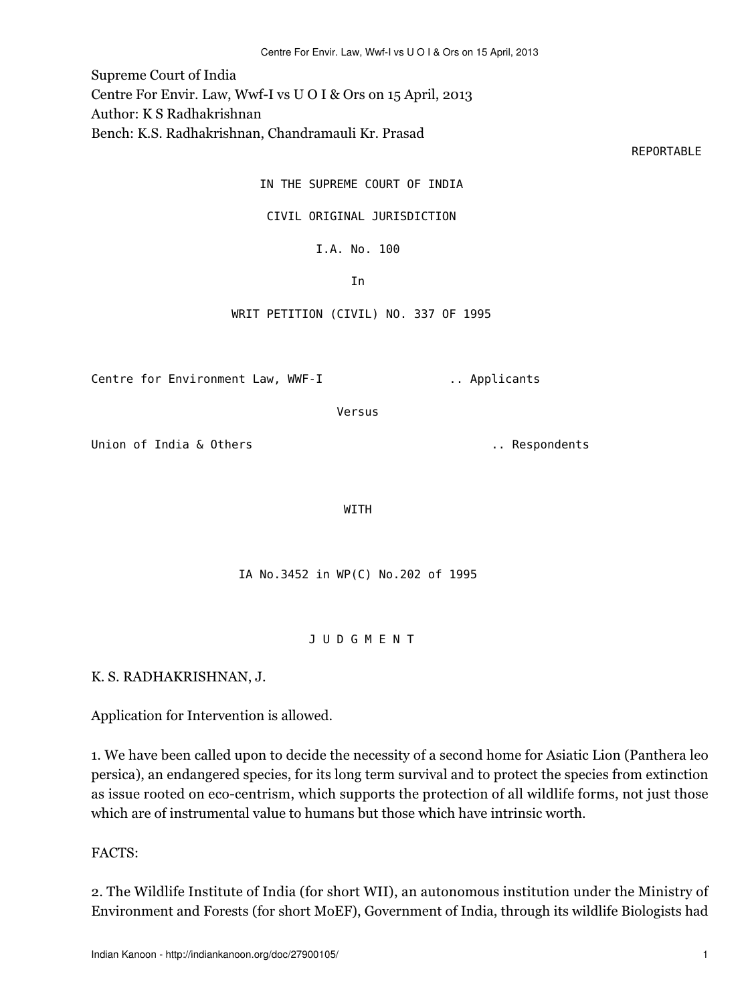Centre For Envir. Law, Wwf-I vs U O I & Ors on 15 April, 2013

Supreme Court of India Centre For Envir. Law, Wwf-I vs U O I & Ors on 15 April, 2013

Author: K S Radhakrishnan

Bench: K.S. Radhakrishnan, Chandramauli Kr. Prasad

represents the contract of the contract of the contract of the contract of the contract of the contract of the contract of the contract of the contract of the contract of the contract of the contract of the contract of the

IN THE SUPREME COURT OF INDIA

CIVIL ORIGINAL JURISDICTION

I.A. No. 100

**In the contract of the contract of the contract of the contract of the contract of the contract of the contract of the contract of the contract of the contract of the contract of the contract of the contract of the contra** 

WRIT PETITION (CIVIL) NO. 337 OF 1995

Centre for Environment Law, WWF-I ... Applicants

Versus

Union of India & Others ... Respondents ... Respondents

WITH

IA No.3452 in WP(C) No.202 of 1995

J U D G M E N T

K. S. RADHAKRISHNAN, J.

Application for Intervention is allowed.

1. We have been called upon to decide the necessity of a second home for Asiatic Lion (Panthera leo persica), an endangered species, for its long term survival and to protect the species from extinction as issue rooted on eco-centrism, which supports the protection of all wildlife forms, not just those which are of instrumental value to humans but those which have intrinsic worth.

FACTS:

2. The Wildlife Institute of India (for short WII), an autonomous institution under the Ministry of Environment and Forests (for short MoEF), Government of India, through its wildlife Biologists had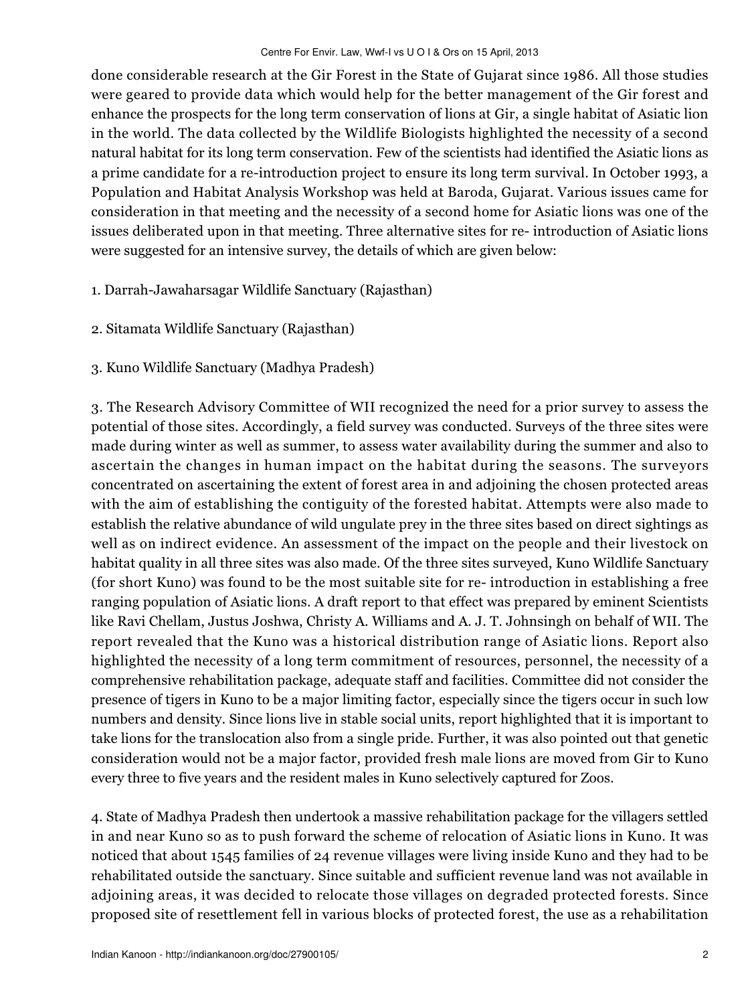done considerable research at the Gir Forest in the State of Gujarat since 1986. All those studies were geared to provide data which would help for the better management of the Gir forest and enhance the prospects for the long term conservation of lions at Gir, a single habitat of Asiatic lion in the world. The data collected by the Wildlife Biologists highlighted the necessity of a second natural habitat for its long term conservation. Few of the scientists had identified the Asiatic lions as a prime candidate for a re-introduction project to ensure its long term survival. In October 1993, a Population and Habitat Analysis Workshop was held at Baroda, Gujarat. Various issues came for consideration in that meeting and the necessity of a second home for Asiatic lions was one of the issues deliberated upon in that meeting. Three alternative sites for re- introduction of Asiatic lions were suggested for an intensive survey, the details of which are given below:

- 1. Darrah-Jawaharsagar Wildlife Sanctuary (Rajasthan)
- 2. Sitamata Wildlife Sanctuary (Rajasthan)
- 3. Kuno Wildlife Sanctuary (Madhya Pradesh)

3. The Research Advisory Committee of WII recognized the need for a prior survey to assess the potential of those sites. Accordingly, a field survey was conducted. Surveys of the three sites were made during winter as well as summer, to assess water availability during the summer and also to ascertain the changes in human impact on the habitat during the seasons. The surveyors concentrated on ascertaining the extent of forest area in and adjoining the chosen protected areas with the aim of establishing the contiguity of the forested habitat. Attempts were also made to establish the relative abundance of wild ungulate prey in the three sites based on direct sightings as well as on indirect evidence. An assessment of the impact on the people and their livestock on habitat quality in all three sites was also made. Of the three sites surveyed, Kuno Wildlife Sanctuary (for short Kuno) was found to be the most suitable site for re- introduction in establishing a free ranging population of Asiatic lions. A draft report to that effect was prepared by eminent Scientists like Ravi Chellam, Justus Joshwa, Christy A. Williams and A. J. T. Johnsingh on behalf of WII. The report revealed that the Kuno was a historical distribution range of Asiatic lions. Report also highlighted the necessity of a long term commitment of resources, personnel, the necessity of a comprehensive rehabilitation package, adequate staff and facilities. Committee did not consider the presence of tigers in Kuno to be a major limiting factor, especially since the tigers occur in such low numbers and density. Since lions live in stable social units, report highlighted that it is important to take lions for the translocation also from a single pride. Further, it was also pointed out that genetic consideration would not be a major factor, provided fresh male lions are moved from Gir to Kuno every three to five years and the resident males in Kuno selectively captured for Zoos.

4. State of Madhya Pradesh then undertook a massive rehabilitation package for the villagers settled in and near Kuno so as to push forward the scheme of relocation of Asiatic lions in Kuno. It was noticed that about 1545 families of 24 revenue villages were living inside Kuno and they had to be rehabilitated outside the sanctuary. Since suitable and sufficient revenue land was not available in adjoining areas, it was decided to relocate those villages on degraded protected forests. Since proposed site of resettlement fell in various blocks of protected forest, the use as a rehabilitation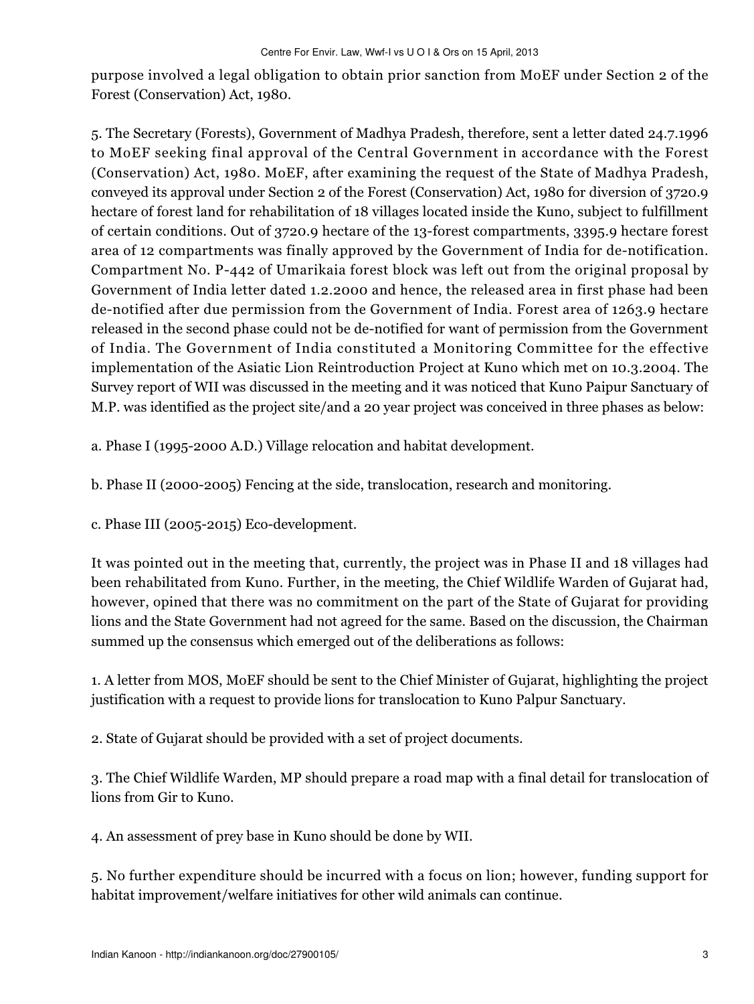purpose involved a legal obligation to obtain prior sanction from MoEF under Section 2 of the Forest (Conservation) Act, 1980.

5. The Secretary (Forests), Government of Madhya Pradesh, therefore, sent a letter dated 24.7.1996 to MoEF seeking final approval of the Central Government in accordance with the Forest (Conservation) Act, 1980. MoEF, after examining the request of the State of Madhya Pradesh, conveyed its approval under Section 2 of the Forest (Conservation) Act, 1980 for diversion of 3720.9 hectare of forest land for rehabilitation of 18 villages located inside the Kuno, subject to fulfillment of certain conditions. Out of 3720.9 hectare of the 13-forest compartments, 3395.9 hectare forest area of 12 compartments was finally approved by the Government of India for de-notification. Compartment No. P-442 of Umarikaia forest block was left out from the original proposal by Government of India letter dated 1.2.2000 and hence, the released area in first phase had been de-notified after due permission from the Government of India. Forest area of 1263.9 hectare released in the second phase could not be de-notified for want of permission from the Government of India. The Government of India constituted a Monitoring Committee for the effective implementation of the Asiatic Lion Reintroduction Project at Kuno which met on 10.3.2004. The Survey report of WII was discussed in the meeting and it was noticed that Kuno Paipur Sanctuary of M.P. was identified as the project site/and a 20 year project was conceived in three phases as below:

a. Phase I (1995-2000 A.D.) Village relocation and habitat development.

b. Phase II (2000-2005) Fencing at the side, translocation, research and monitoring.

c. Phase III (2005-2015) Eco-development.

It was pointed out in the meeting that, currently, the project was in Phase II and 18 villages had been rehabilitated from Kuno. Further, in the meeting, the Chief Wildlife Warden of Gujarat had, however, opined that there was no commitment on the part of the State of Gujarat for providing lions and the State Government had not agreed for the same. Based on the discussion, the Chairman summed up the consensus which emerged out of the deliberations as follows:

1. A letter from MOS, MoEF should be sent to the Chief Minister of Gujarat, highlighting the project justification with a request to provide lions for translocation to Kuno Palpur Sanctuary.

2. State of Gujarat should be provided with a set of project documents.

3. The Chief Wildlife Warden, MP should prepare a road map with a final detail for translocation of lions from Gir to Kuno.

4. An assessment of prey base in Kuno should be done by WII.

5. No further expenditure should be incurred with a focus on lion; however, funding support for habitat improvement/welfare initiatives for other wild animals can continue.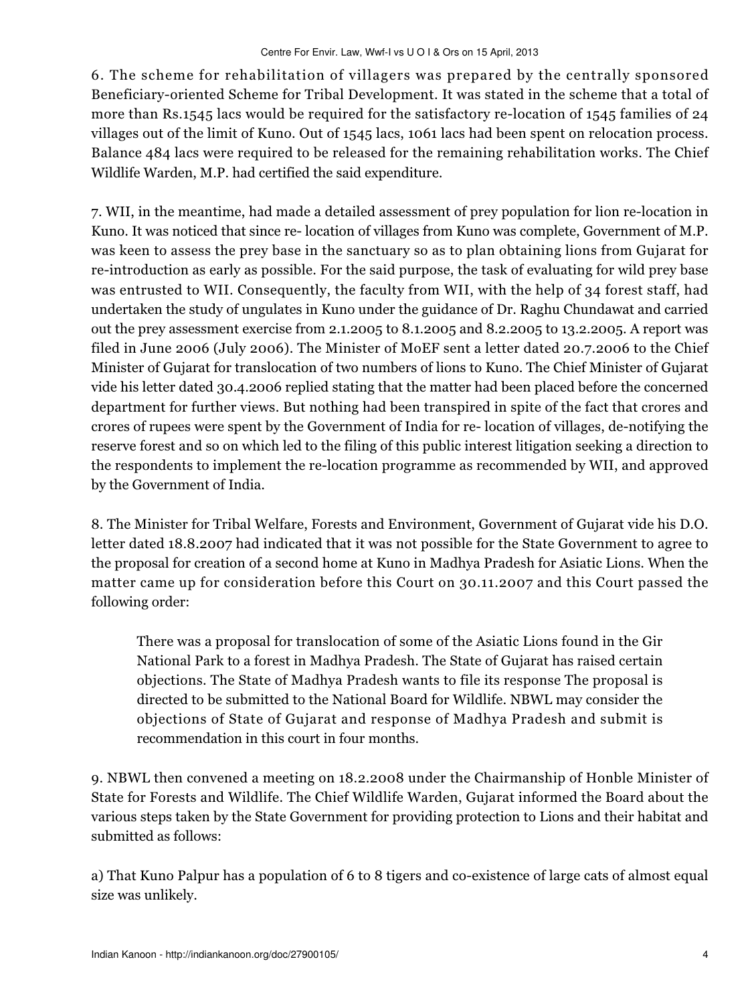6. The scheme for rehabilitation of villagers was prepared by the centrally sponsored Beneficiary-oriented Scheme for Tribal Development. It was stated in the scheme that a total of more than Rs.1545 lacs would be required for the satisfactory re-location of 1545 families of 24 villages out of the limit of Kuno. Out of 1545 lacs, 1061 lacs had been spent on relocation process. Balance 484 lacs were required to be released for the remaining rehabilitation works. The Chief Wildlife Warden, M.P. had certified the said expenditure.

7. WII, in the meantime, had made a detailed assessment of prey population for lion re-location in Kuno. It was noticed that since re- location of villages from Kuno was complete, Government of M.P. was keen to assess the prey base in the sanctuary so as to plan obtaining lions from Gujarat for re-introduction as early as possible. For the said purpose, the task of evaluating for wild prey base was entrusted to WII. Consequently, the faculty from WII, with the help of 34 forest staff, had undertaken the study of ungulates in Kuno under the guidance of Dr. Raghu Chundawat and carried out the prey assessment exercise from 2.1.2005 to 8.1.2005 and 8.2.2005 to 13.2.2005. A report was filed in June 2006 (July 2006). The Minister of MoEF sent a letter dated 20.7.2006 to the Chief Minister of Gujarat for translocation of two numbers of lions to Kuno. The Chief Minister of Gujarat vide his letter dated 30.4.2006 replied stating that the matter had been placed before the concerned department for further views. But nothing had been transpired in spite of the fact that crores and crores of rupees were spent by the Government of India for re- location of villages, de-notifying the reserve forest and so on which led to the filing of this public interest litigation seeking a direction to the respondents to implement the re-location programme as recommended by WII, and approved by the Government of India.

8. The Minister for Tribal Welfare, Forests and Environment, Government of Gujarat vide his D.O. letter dated 18.8.2007 had indicated that it was not possible for the State Government to agree to the proposal for creation of a second home at Kuno in Madhya Pradesh for Asiatic Lions. When the matter came up for consideration before this Court on 30.11.2007 and this Court passed the following order:

There was a proposal for translocation of some of the Asiatic Lions found in the Gir National Park to a forest in Madhya Pradesh. The State of Gujarat has raised certain objections. The State of Madhya Pradesh wants to file its response The proposal is directed to be submitted to the National Board for Wildlife. NBWL may consider the objections of State of Gujarat and response of Madhya Pradesh and submit is recommendation in this court in four months.

9. NBWL then convened a meeting on 18.2.2008 under the Chairmanship of Honble Minister of State for Forests and Wildlife. The Chief Wildlife Warden, Gujarat informed the Board about the various steps taken by the State Government for providing protection to Lions and their habitat and submitted as follows:

a) That Kuno Palpur has a population of 6 to 8 tigers and co-existence of large cats of almost equal size was unlikely.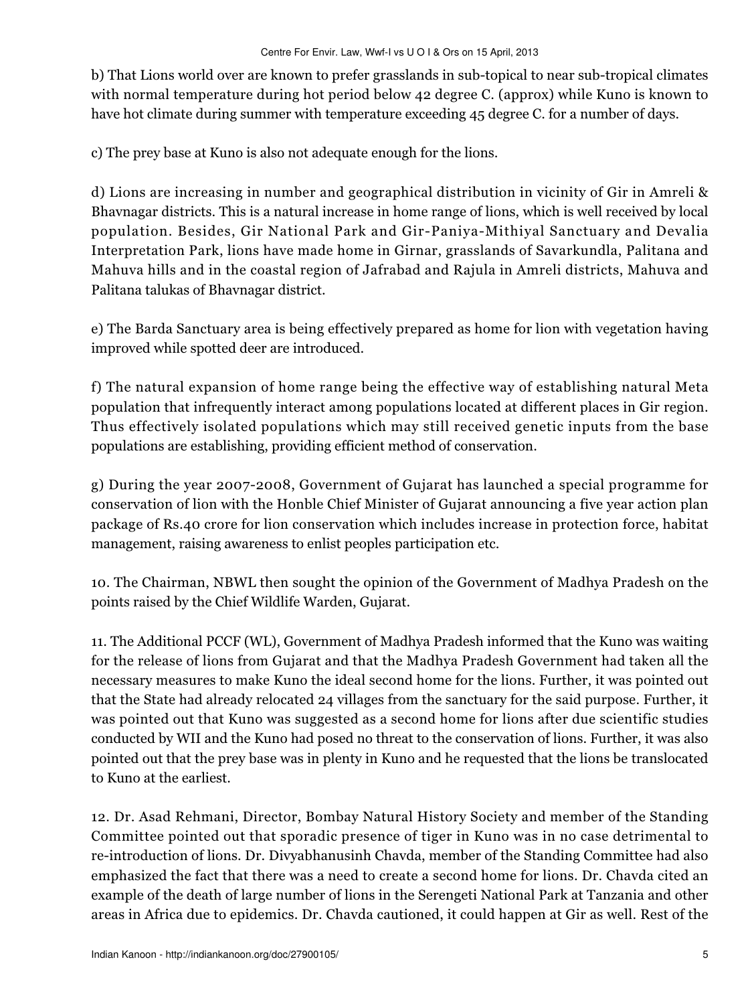b) That Lions world over are known to prefer grasslands in sub-topical to near sub-tropical climates with normal temperature during hot period below 42 degree C. (approx) while Kuno is known to have hot climate during summer with temperature exceeding 45 degree C. for a number of days.

c) The prey base at Kuno is also not adequate enough for the lions.

d) Lions are increasing in number and geographical distribution in vicinity of Gir in Amreli & Bhavnagar districts. This is a natural increase in home range of lions, which is well received by local population. Besides, Gir National Park and Gir-Paniya-Mithiyal Sanctuary and Devalia Interpretation Park, lions have made home in Girnar, grasslands of Savarkundla, Palitana and Mahuva hills and in the coastal region of Jafrabad and Rajula in Amreli districts, Mahuva and Palitana talukas of Bhavnagar district.

e) The Barda Sanctuary area is being effectively prepared as home for lion with vegetation having improved while spotted deer are introduced.

f) The natural expansion of home range being the effective way of establishing natural Meta population that infrequently interact among populations located at different places in Gir region. Thus effectively isolated populations which may still received genetic inputs from the base populations are establishing, providing efficient method of conservation.

g) During the year 2007-2008, Government of Gujarat has launched a special programme for conservation of lion with the Honble Chief Minister of Gujarat announcing a five year action plan package of Rs.40 crore for lion conservation which includes increase in protection force, habitat management, raising awareness to enlist peoples participation etc.

10. The Chairman, NBWL then sought the opinion of the Government of Madhya Pradesh on the points raised by the Chief Wildlife Warden, Gujarat.

11. The Additional PCCF (WL), Government of Madhya Pradesh informed that the Kuno was waiting for the release of lions from Gujarat and that the Madhya Pradesh Government had taken all the necessary measures to make Kuno the ideal second home for the lions. Further, it was pointed out that the State had already relocated 24 villages from the sanctuary for the said purpose. Further, it was pointed out that Kuno was suggested as a second home for lions after due scientific studies conducted by WII and the Kuno had posed no threat to the conservation of lions. Further, it was also pointed out that the prey base was in plenty in Kuno and he requested that the lions be translocated to Kuno at the earliest.

12. Dr. Asad Rehmani, Director, Bombay Natural History Society and member of the Standing Committee pointed out that sporadic presence of tiger in Kuno was in no case detrimental to re-introduction of lions. Dr. Divyabhanusinh Chavda, member of the Standing Committee had also emphasized the fact that there was a need to create a second home for lions. Dr. Chavda cited an example of the death of large number of lions in the Serengeti National Park at Tanzania and other areas in Africa due to epidemics. Dr. Chavda cautioned, it could happen at Gir as well. Rest of the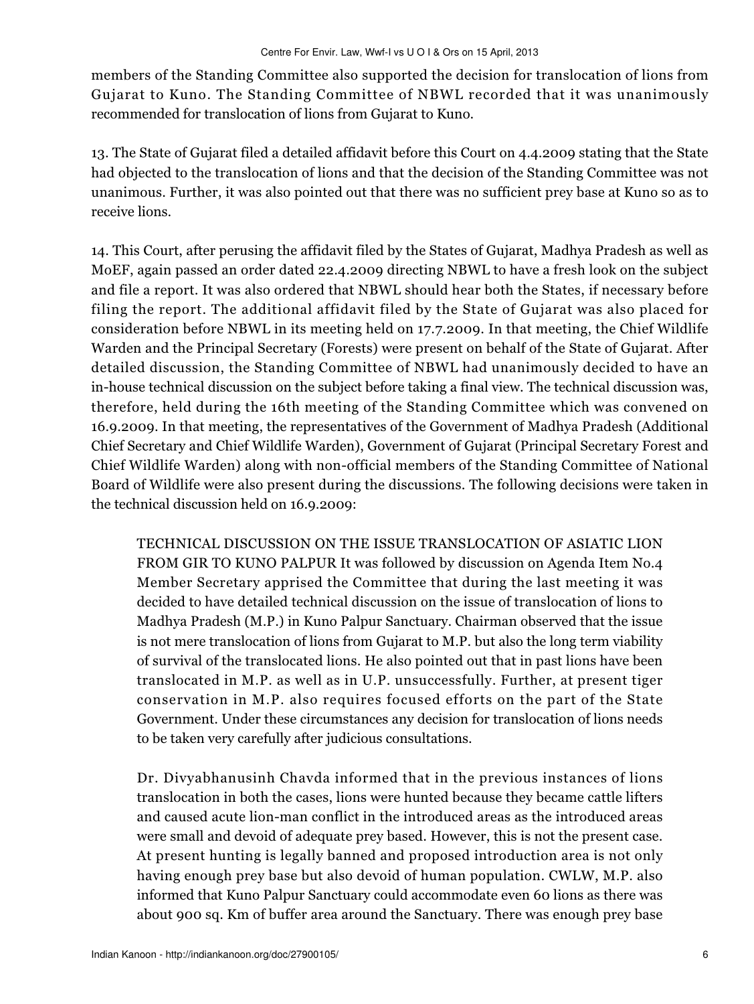members of the Standing Committee also supported the decision for translocation of lions from Gujarat to Kuno. The Standing Committee of NBWL recorded that it was unanimously recommended for translocation of lions from Gujarat to Kuno.

13. The State of Gujarat filed a detailed affidavit before this Court on 4.4.2009 stating that the State had objected to the translocation of lions and that the decision of the Standing Committee was not unanimous. Further, it was also pointed out that there was no sufficient prey base at Kuno so as to receive lions.

14. This Court, after perusing the affidavit filed by the States of Gujarat, Madhya Pradesh as well as MoEF, again passed an order dated 22.4.2009 directing NBWL to have a fresh look on the subject and file a report. It was also ordered that NBWL should hear both the States, if necessary before filing the report. The additional affidavit filed by the State of Gujarat was also placed for consideration before NBWL in its meeting held on 17.7.2009. In that meeting, the Chief Wildlife Warden and the Principal Secretary (Forests) were present on behalf of the State of Gujarat. After detailed discussion, the Standing Committee of NBWL had unanimously decided to have an in-house technical discussion on the subject before taking a final view. The technical discussion was, therefore, held during the 16th meeting of the Standing Committee which was convened on 16.9.2009. In that meeting, the representatives of the Government of Madhya Pradesh (Additional Chief Secretary and Chief Wildlife Warden), Government of Gujarat (Principal Secretary Forest and Chief Wildlife Warden) along with non-official members of the Standing Committee of National Board of Wildlife were also present during the discussions. The following decisions were taken in the technical discussion held on 16.9.2009:

TECHNICAL DISCUSSION ON THE ISSUE TRANSLOCATION OF ASIATIC LION FROM GIR TO KUNO PALPUR It was followed by discussion on Agenda Item No.4 Member Secretary apprised the Committee that during the last meeting it was decided to have detailed technical discussion on the issue of translocation of lions to Madhya Pradesh (M.P.) in Kuno Palpur Sanctuary. Chairman observed that the issue is not mere translocation of lions from Gujarat to M.P. but also the long term viability of survival of the translocated lions. He also pointed out that in past lions have been translocated in M.P. as well as in U.P. unsuccessfully. Further, at present tiger conservation in M.P. also requires focused efforts on the part of the State Government. Under these circumstances any decision for translocation of lions needs to be taken very carefully after judicious consultations.

Dr. Divyabhanusinh Chavda informed that in the previous instances of lions translocation in both the cases, lions were hunted because they became cattle lifters and caused acute lion-man conflict in the introduced areas as the introduced areas were small and devoid of adequate prey based. However, this is not the present case. At present hunting is legally banned and proposed introduction area is not only having enough prey base but also devoid of human population. CWLW, M.P. also informed that Kuno Palpur Sanctuary could accommodate even 60 lions as there was about 900 sq. Km of buffer area around the Sanctuary. There was enough prey base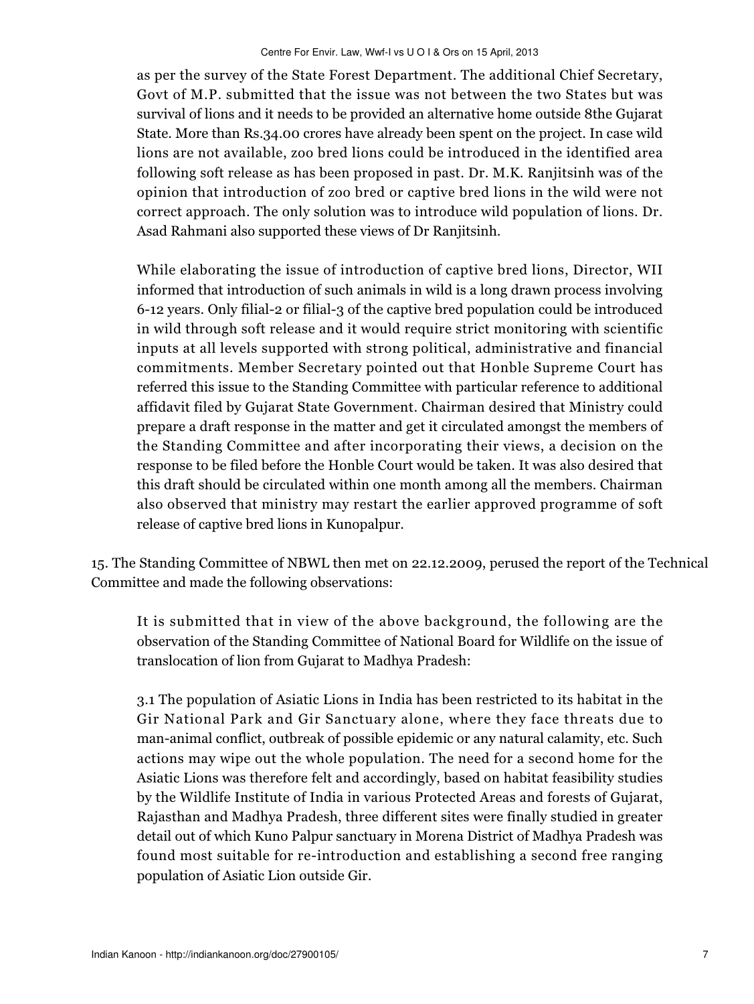as per the survey of the State Forest Department. The additional Chief Secretary, Govt of M.P. submitted that the issue was not between the two States but was survival of lions and it needs to be provided an alternative home outside 8the Gujarat State. More than Rs.34.00 crores have already been spent on the project. In case wild lions are not available, zoo bred lions could be introduced in the identified area following soft release as has been proposed in past. Dr. M.K. Ranjitsinh was of the opinion that introduction of zoo bred or captive bred lions in the wild were not correct approach. The only solution was to introduce wild population of lions. Dr. Asad Rahmani also supported these views of Dr Ranjitsinh.

While elaborating the issue of introduction of captive bred lions, Director, WII informed that introduction of such animals in wild is a long drawn process involving 6-12 years. Only filial-2 or filial-3 of the captive bred population could be introduced in wild through soft release and it would require strict monitoring with scientific inputs at all levels supported with strong political, administrative and financial commitments. Member Secretary pointed out that Honble Supreme Court has referred this issue to the Standing Committee with particular reference to additional affidavit filed by Gujarat State Government. Chairman desired that Ministry could prepare a draft response in the matter and get it circulated amongst the members of the Standing Committee and after incorporating their views, a decision on the response to be filed before the Honble Court would be taken. It was also desired that this draft should be circulated within one month among all the members. Chairman also observed that ministry may restart the earlier approved programme of soft release of captive bred lions in Kunopalpur.

15. The Standing Committee of NBWL then met on 22.12.2009, perused the report of the Technical Committee and made the following observations:

It is submitted that in view of the above background, the following are the observation of the Standing Committee of National Board for Wildlife on the issue of translocation of lion from Gujarat to Madhya Pradesh:

3.1 The population of Asiatic Lions in India has been restricted to its habitat in the Gir National Park and Gir Sanctuary alone, where they face threats due to man-animal conflict, outbreak of possible epidemic or any natural calamity, etc. Such actions may wipe out the whole population. The need for a second home for the Asiatic Lions was therefore felt and accordingly, based on habitat feasibility studies by the Wildlife Institute of India in various Protected Areas and forests of Gujarat, Rajasthan and Madhya Pradesh, three different sites were finally studied in greater detail out of which Kuno Palpur sanctuary in Morena District of Madhya Pradesh was found most suitable for re-introduction and establishing a second free ranging population of Asiatic Lion outside Gir.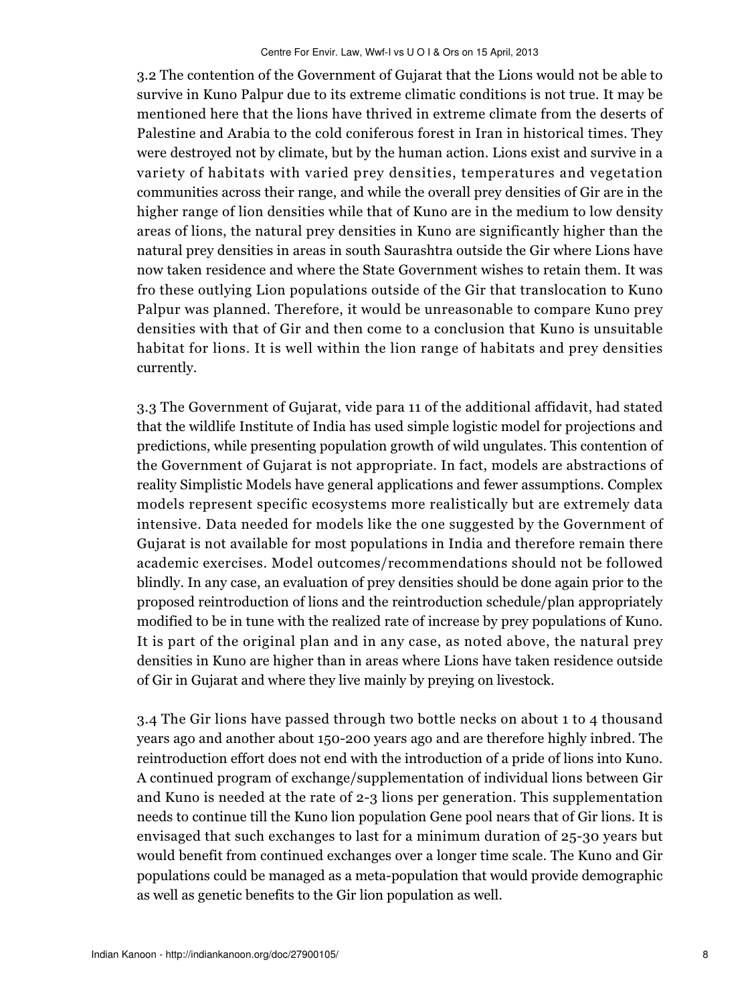3.2 The contention of the Government of Gujarat that the Lions would not be able to survive in Kuno Palpur due to its extreme climatic conditions is not true. It may be mentioned here that the lions have thrived in extreme climate from the deserts of Palestine and Arabia to the cold coniferous forest in Iran in historical times. They were destroyed not by climate, but by the human action. Lions exist and survive in a variety of habitats with varied prey densities, temperatures and vegetation communities across their range, and while the overall prey densities of Gir are in the higher range of lion densities while that of Kuno are in the medium to low density areas of lions, the natural prey densities in Kuno are significantly higher than the natural prey densities in areas in south Saurashtra outside the Gir where Lions have now taken residence and where the State Government wishes to retain them. It was fro these outlying Lion populations outside of the Gir that translocation to Kuno Palpur was planned. Therefore, it would be unreasonable to compare Kuno prey densities with that of Gir and then come to a conclusion that Kuno is unsuitable habitat for lions. It is well within the lion range of habitats and prey densities currently.

3.3 The Government of Gujarat, vide para 11 of the additional affidavit, had stated that the wildlife Institute of India has used simple logistic model for projections and predictions, while presenting population growth of wild ungulates. This contention of the Government of Gujarat is not appropriate. In fact, models are abstractions of reality Simplistic Models have general applications and fewer assumptions. Complex models represent specific ecosystems more realistically but are extremely data intensive. Data needed for models like the one suggested by the Government of Gujarat is not available for most populations in India and therefore remain there academic exercises. Model outcomes/recommendations should not be followed blindly. In any case, an evaluation of prey densities should be done again prior to the proposed reintroduction of lions and the reintroduction schedule/plan appropriately modified to be in tune with the realized rate of increase by prey populations of Kuno. It is part of the original plan and in any case, as noted above, the natural prey densities in Kuno are higher than in areas where Lions have taken residence outside of Gir in Gujarat and where they live mainly by preying on livestock.

3.4 The Gir lions have passed through two bottle necks on about 1 to 4 thousand years ago and another about 150-200 years ago and are therefore highly inbred. The reintroduction effort does not end with the introduction of a pride of lions into Kuno. A continued program of exchange/supplementation of individual lions between Gir and Kuno is needed at the rate of 2-3 lions per generation. This supplementation needs to continue till the Kuno lion population Gene pool nears that of Gir lions. It is envisaged that such exchanges to last for a minimum duration of 25-30 years but would benefit from continued exchanges over a longer time scale. The Kuno and Gir populations could be managed as a meta-population that would provide demographic as well as genetic benefits to the Gir lion population as well.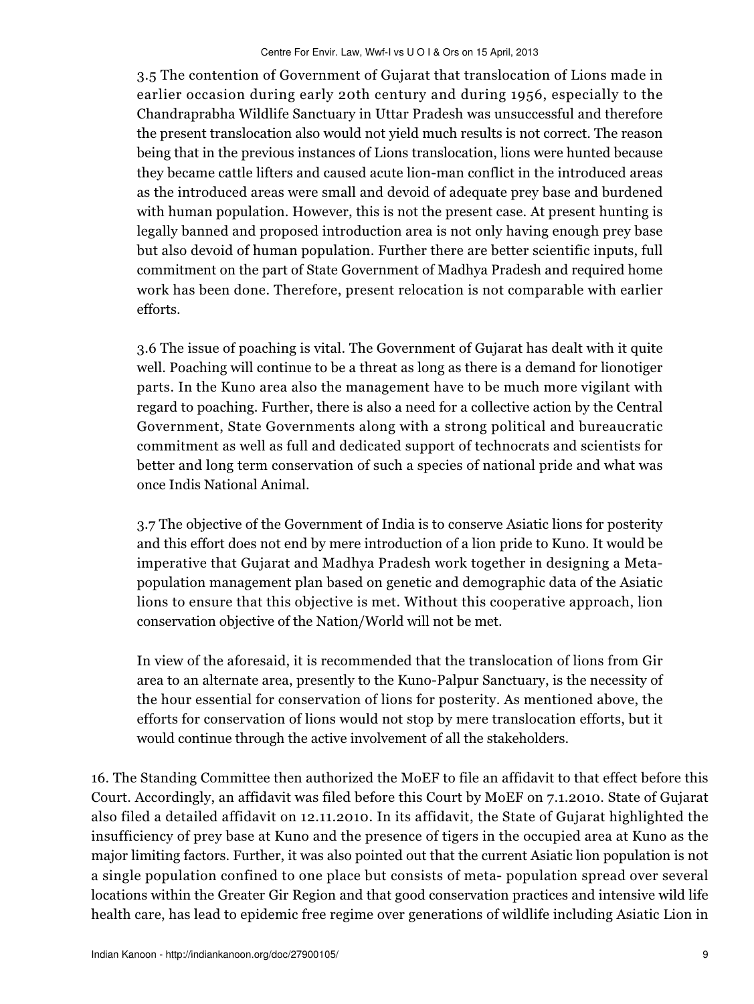3.5 The contention of Government of Gujarat that translocation of Lions made in earlier occasion during early 20th century and during 1956, especially to the Chandraprabha Wildlife Sanctuary in Uttar Pradesh was unsuccessful and therefore the present translocation also would not yield much results is not correct. The reason being that in the previous instances of Lions translocation, lions were hunted because they became cattle lifters and caused acute lion-man conflict in the introduced areas as the introduced areas were small and devoid of adequate prey base and burdened with human population. However, this is not the present case. At present hunting is legally banned and proposed introduction area is not only having enough prey base but also devoid of human population. Further there are better scientific inputs, full commitment on the part of State Government of Madhya Pradesh and required home work has been done. Therefore, present relocation is not comparable with earlier efforts.

3.6 The issue of poaching is vital. The Government of Gujarat has dealt with it quite well. Poaching will continue to be a threat as long as there is a demand for lionotiger parts. In the Kuno area also the management have to be much more vigilant with regard to poaching. Further, there is also a need for a collective action by the Central Government, State Governments along with a strong political and bureaucratic commitment as well as full and dedicated support of technocrats and scientists for better and long term conservation of such a species of national pride and what was once Indis National Animal.

3.7 The objective of the Government of India is to conserve Asiatic lions for posterity and this effort does not end by mere introduction of a lion pride to Kuno. It would be imperative that Gujarat and Madhya Pradesh work together in designing a Metapopulation management plan based on genetic and demographic data of the Asiatic lions to ensure that this objective is met. Without this cooperative approach, lion conservation objective of the Nation/World will not be met.

In view of the aforesaid, it is recommended that the translocation of lions from Gir area to an alternate area, presently to the Kuno-Palpur Sanctuary, is the necessity of the hour essential for conservation of lions for posterity. As mentioned above, the efforts for conservation of lions would not stop by mere translocation efforts, but it would continue through the active involvement of all the stakeholders.

16. The Standing Committee then authorized the MoEF to file an affidavit to that effect before this Court. Accordingly, an affidavit was filed before this Court by MoEF on 7.1.2010. State of Gujarat also filed a detailed affidavit on 12.11.2010. In its affidavit, the State of Gujarat highlighted the insufficiency of prey base at Kuno and the presence of tigers in the occupied area at Kuno as the major limiting factors. Further, it was also pointed out that the current Asiatic lion population is not a single population confined to one place but consists of meta- population spread over several locations within the Greater Gir Region and that good conservation practices and intensive wild life health care, has lead to epidemic free regime over generations of wildlife including Asiatic Lion in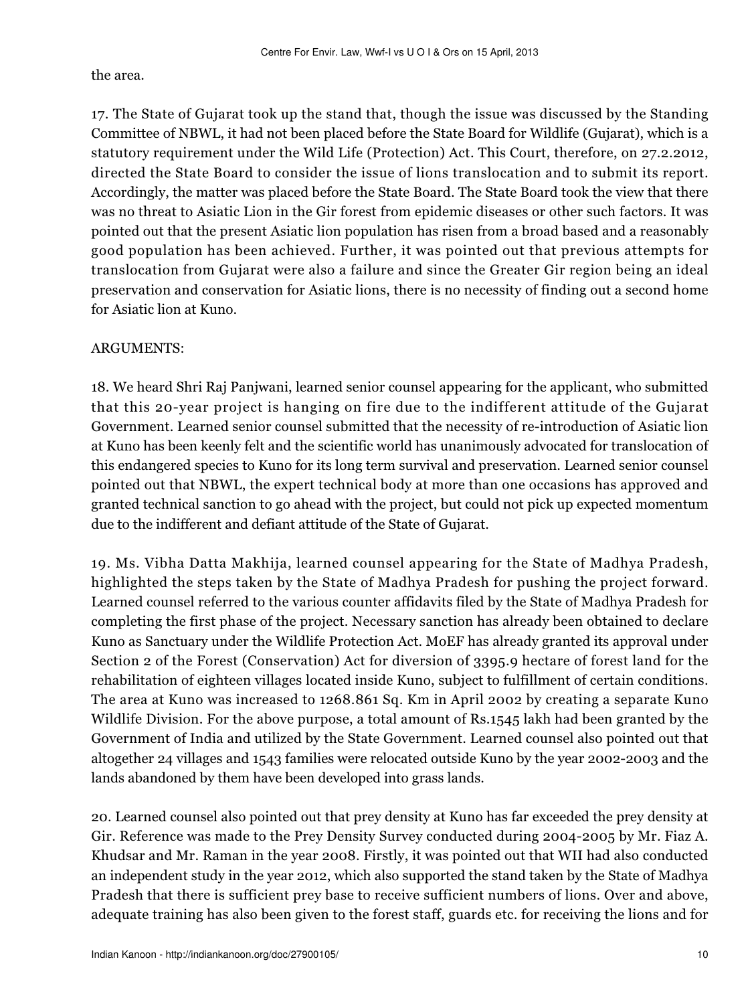the area.

17. The State of Gujarat took up the stand that, though the issue was discussed by the Standing Committee of NBWL, it had not been placed before the State Board for Wildlife (Gujarat), which is a statutory requirement under the Wild Life (Protection) Act. This Court, therefore, on 27.2.2012, directed the State Board to consider the issue of lions translocation and to submit its report. Accordingly, the matter was placed before the State Board. The State Board took the view that there was no threat to Asiatic Lion in the Gir forest from epidemic diseases or other such factors. It was pointed out that the present Asiatic lion population has risen from a broad based and a reasonably good population has been achieved. Further, it was pointed out that previous attempts for translocation from Gujarat were also a failure and since the Greater Gir region being an ideal preservation and conservation for Asiatic lions, there is no necessity of finding out a second home for Asiatic lion at Kuno.

#### ARGUMENTS:

18. We heard Shri Raj Panjwani, learned senior counsel appearing for the applicant, who submitted that this 20-year project is hanging on fire due to the indifferent attitude of the Gujarat Government. Learned senior counsel submitted that the necessity of re-introduction of Asiatic lion at Kuno has been keenly felt and the scientific world has unanimously advocated for translocation of this endangered species to Kuno for its long term survival and preservation. Learned senior counsel pointed out that NBWL, the expert technical body at more than one occasions has approved and granted technical sanction to go ahead with the project, but could not pick up expected momentum due to the indifferent and defiant attitude of the State of Gujarat.

19. Ms. Vibha Datta Makhija, learned counsel appearing for the State of Madhya Pradesh, highlighted the steps taken by the State of Madhya Pradesh for pushing the project forward. Learned counsel referred to the various counter affidavits filed by the State of Madhya Pradesh for completing the first phase of the project. Necessary sanction has already been obtained to declare Kuno as Sanctuary under the Wildlife Protection Act. MoEF has already granted its approval under Section 2 of the Forest (Conservation) Act for diversion of 3395.9 hectare of forest land for the rehabilitation of eighteen villages located inside Kuno, subject to fulfillment of certain conditions. The area at Kuno was increased to 1268.861 Sq. Km in April 2002 by creating a separate Kuno Wildlife Division. For the above purpose, a total amount of Rs.1545 lakh had been granted by the Government of India and utilized by the State Government. Learned counsel also pointed out that altogether 24 villages and 1543 families were relocated outside Kuno by the year 2002-2003 and the lands abandoned by them have been developed into grass lands.

20. Learned counsel also pointed out that prey density at Kuno has far exceeded the prey density at Gir. Reference was made to the Prey Density Survey conducted during 2004-2005 by Mr. Fiaz A. Khudsar and Mr. Raman in the year 2008. Firstly, it was pointed out that WII had also conducted an independent study in the year 2012, which also supported the stand taken by the State of Madhya Pradesh that there is sufficient prey base to receive sufficient numbers of lions. Over and above, adequate training has also been given to the forest staff, guards etc. for receiving the lions and for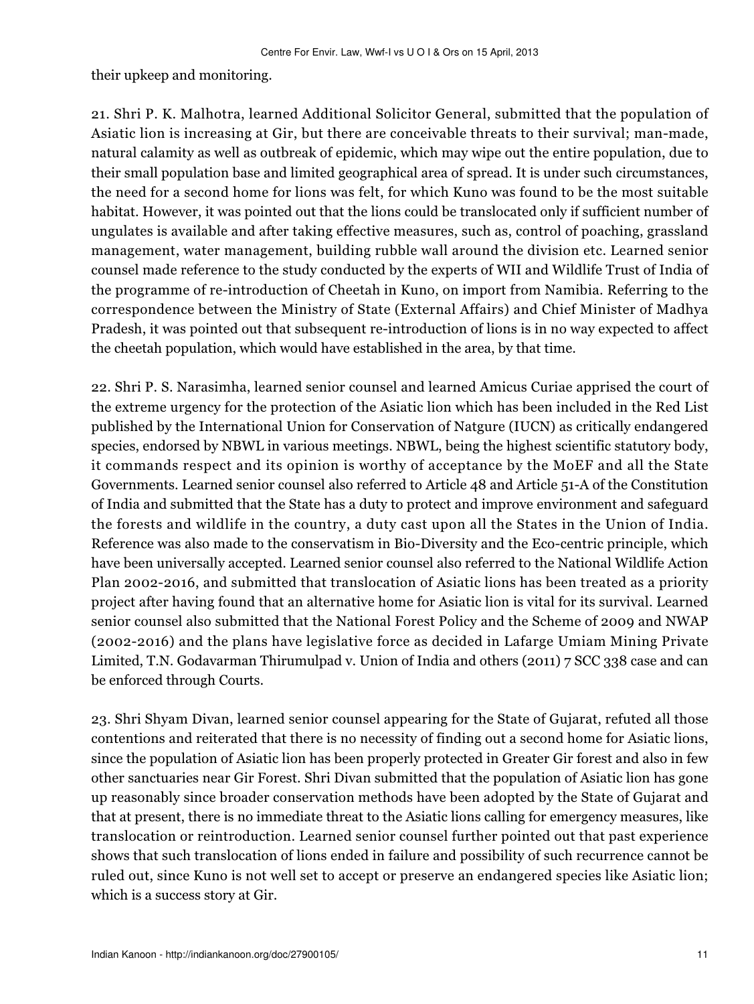their upkeep and monitoring.

21. Shri P. K. Malhotra, learned Additional Solicitor General, submitted that the population of Asiatic lion is increasing at Gir, but there are conceivable threats to their survival; man-made, natural calamity as well as outbreak of epidemic, which may wipe out the entire population, due to their small population base and limited geographical area of spread. It is under such circumstances, the need for a second home for lions was felt, for which Kuno was found to be the most suitable habitat. However, it was pointed out that the lions could be translocated only if sufficient number of ungulates is available and after taking effective measures, such as, control of poaching, grassland management, water management, building rubble wall around the division etc. Learned senior counsel made reference to the study conducted by the experts of WII and Wildlife Trust of India of the programme of re-introduction of Cheetah in Kuno, on import from Namibia. Referring to the correspondence between the Ministry of State (External Affairs) and Chief Minister of Madhya Pradesh, it was pointed out that subsequent re-introduction of lions is in no way expected to affect the cheetah population, which would have established in the area, by that time.

22. Shri P. S. Narasimha, learned senior counsel and learned Amicus Curiae apprised the court of the extreme urgency for the protection of the Asiatic lion which has been included in the Red List published by the International Union for Conservation of Natgure (IUCN) as critically endangered species, endorsed by NBWL in various meetings. NBWL, being the highest scientific statutory body, it commands respect and its opinion is worthy of acceptance by the MoEF and all the State Governments. Learned senior counsel also referred to Article 48 and Article 51-A of the Constitution of India and submitted that the State has a duty to protect and improve environment and safeguard the forests and wildlife in the country, a duty cast upon all the States in the Union of India. Reference was also made to the conservatism in Bio-Diversity and the Eco-centric principle, which have been universally accepted. Learned senior counsel also referred to the National Wildlife Action Plan 2002-2016, and submitted that translocation of Asiatic lions has been treated as a priority project after having found that an alternative home for Asiatic lion is vital for its survival. Learned senior counsel also submitted that the National Forest Policy and the Scheme of 2009 and NWAP (2002-2016) and the plans have legislative force as decided in Lafarge Umiam Mining Private Limited, T.N. Godavarman Thirumulpad v. Union of India and others (2011) 7 SCC 338 case and can be enforced through Courts.

23. Shri Shyam Divan, learned senior counsel appearing for the State of Gujarat, refuted all those contentions and reiterated that there is no necessity of finding out a second home for Asiatic lions, since the population of Asiatic lion has been properly protected in Greater Gir forest and also in few other sanctuaries near Gir Forest. Shri Divan submitted that the population of Asiatic lion has gone up reasonably since broader conservation methods have been adopted by the State of Gujarat and that at present, there is no immediate threat to the Asiatic lions calling for emergency measures, like translocation or reintroduction. Learned senior counsel further pointed out that past experience shows that such translocation of lions ended in failure and possibility of such recurrence cannot be ruled out, since Kuno is not well set to accept or preserve an endangered species like Asiatic lion; which is a success story at Gir.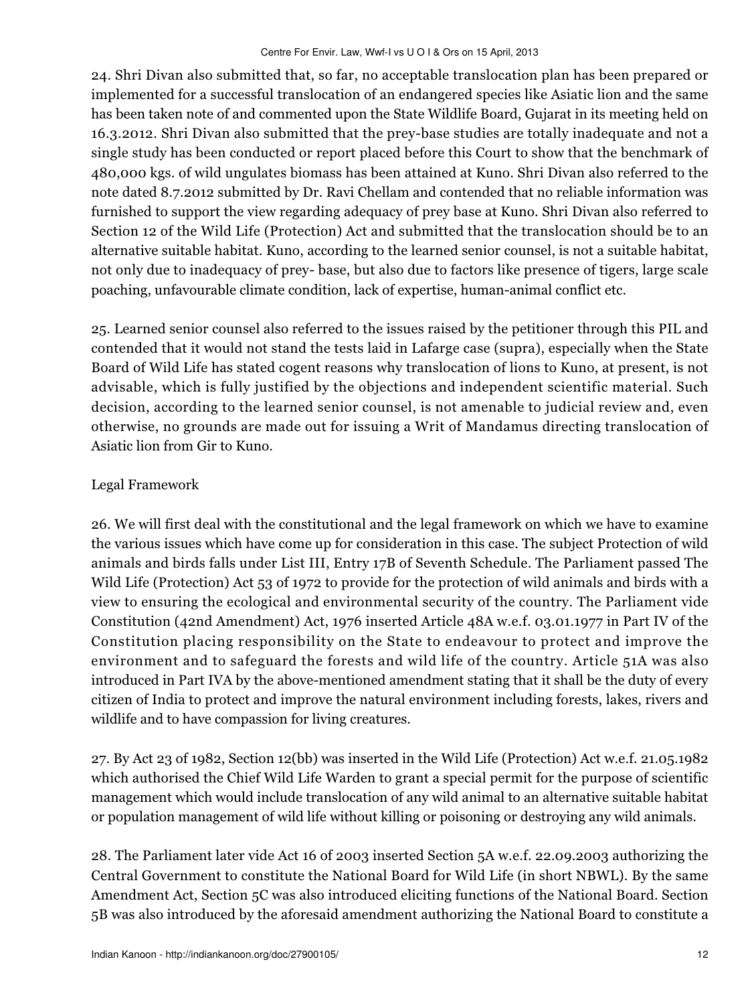24. Shri Divan also submitted that, so far, no acceptable translocation plan has been prepared or implemented for a successful translocation of an endangered species like Asiatic lion and the same has been taken note of and commented upon the State Wildlife Board, Gujarat in its meeting held on 16.3.2012. Shri Divan also submitted that the prey-base studies are totally inadequate and not a single study has been conducted or report placed before this Court to show that the benchmark of 480,000 kgs. of wild ungulates biomass has been attained at Kuno. Shri Divan also referred to the note dated 8.7.2012 submitted by Dr. Ravi Chellam and contended that no reliable information was furnished to support the view regarding adequacy of prey base at Kuno. Shri Divan also referred to Section 12 of the Wild Life (Protection) Act and submitted that the translocation should be to an alternative suitable habitat. Kuno, according to the learned senior counsel, is not a suitable habitat, not only due to inadequacy of prey- base, but also due to factors like presence of tigers, large scale poaching, unfavourable climate condition, lack of expertise, human-animal conflict etc.

25. Learned senior counsel also referred to the issues raised by the petitioner through this PIL and contended that it would not stand the tests laid in Lafarge case (supra), especially when the State Board of Wild Life has stated cogent reasons why translocation of lions to Kuno, at present, is not advisable, which is fully justified by the objections and independent scientific material. Such decision, according to the learned senior counsel, is not amenable to judicial review and, even otherwise, no grounds are made out for issuing a Writ of Mandamus directing translocation of Asiatic lion from Gir to Kuno.

# Legal Framework

26. We will first deal with the constitutional and the legal framework on which we have to examine the various issues which have come up for consideration in this case. The subject Protection of wild animals and birds falls under List III, Entry 17B of Seventh Schedule. The Parliament passed The Wild Life (Protection) Act 53 of 1972 to provide for the protection of wild animals and birds with a view to ensuring the ecological and environmental security of the country. The Parliament vide Constitution (42nd Amendment) Act, 1976 inserted Article 48A w.e.f. 03.01.1977 in Part IV of the Constitution placing responsibility on the State to endeavour to protect and improve the environment and to safeguard the forests and wild life of the country. Article 51A was also introduced in Part IVA by the above-mentioned amendment stating that it shall be the duty of every citizen of India to protect and improve the natural environment including forests, lakes, rivers and wildlife and to have compassion for living creatures.

27. By Act 23 of 1982, Section 12(bb) was inserted in the Wild Life (Protection) Act w.e.f. 21.05.1982 which authorised the Chief Wild Life Warden to grant a special permit for the purpose of scientific management which would include translocation of any wild animal to an alternative suitable habitat or population management of wild life without killing or poisoning or destroying any wild animals.

28. The Parliament later vide Act 16 of 2003 inserted Section 5A w.e.f. 22.09.2003 authorizing the Central Government to constitute the National Board for Wild Life (in short NBWL). By the same Amendment Act, Section 5C was also introduced eliciting functions of the National Board. Section 5B was also introduced by the aforesaid amendment authorizing the National Board to constitute a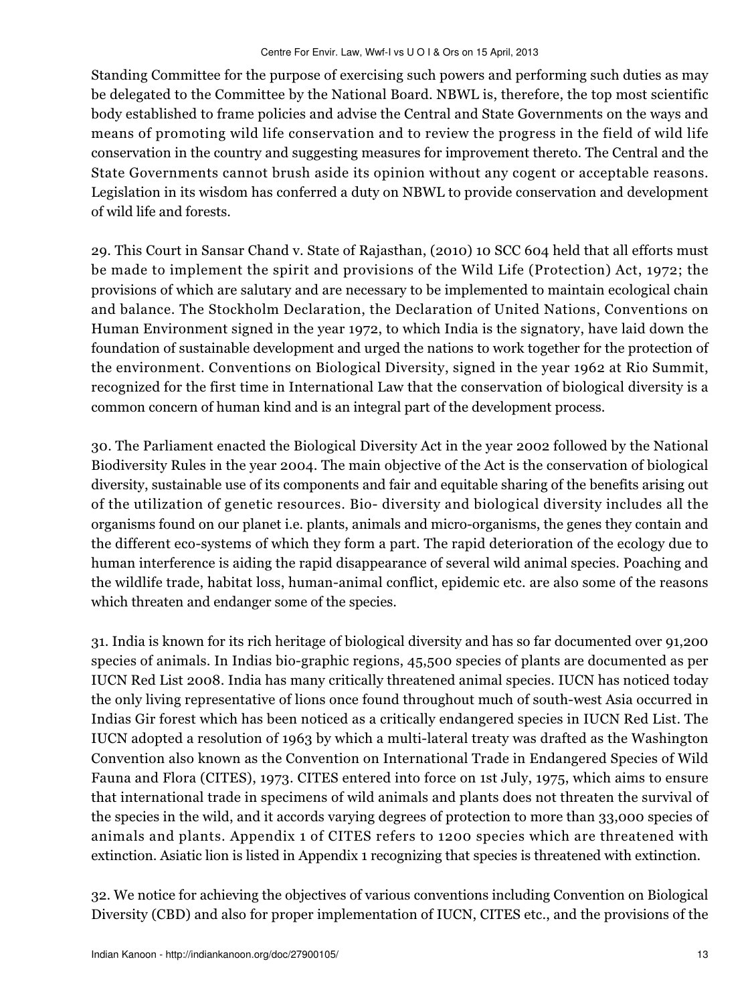Standing Committee for the purpose of exercising such powers and performing such duties as may be delegated to the Committee by the National Board. NBWL is, therefore, the top most scientific body established to frame policies and advise the Central and State Governments on the ways and means of promoting wild life conservation and to review the progress in the field of wild life conservation in the country and suggesting measures for improvement thereto. The Central and the State Governments cannot brush aside its opinion without any cogent or acceptable reasons. Legislation in its wisdom has conferred a duty on NBWL to provide conservation and development of wild life and forests.

29. This Court in Sansar Chand v. State of Rajasthan, (2010) 10 SCC 604 held that all efforts must be made to implement the spirit and provisions of the Wild Life (Protection) Act, 1972; the provisions of which are salutary and are necessary to be implemented to maintain ecological chain and balance. The Stockholm Declaration, the Declaration of United Nations, Conventions on Human Environment signed in the year 1972, to which India is the signatory, have laid down the foundation of sustainable development and urged the nations to work together for the protection of the environment. Conventions on Biological Diversity, signed in the year 1962 at Rio Summit, recognized for the first time in International Law that the conservation of biological diversity is a common concern of human kind and is an integral part of the development process.

30. The Parliament enacted the Biological Diversity Act in the year 2002 followed by the National Biodiversity Rules in the year 2004. The main objective of the Act is the conservation of biological diversity, sustainable use of its components and fair and equitable sharing of the benefits arising out of the utilization of genetic resources. Bio- diversity and biological diversity includes all the organisms found on our planet i.e. plants, animals and micro-organisms, the genes they contain and the different eco-systems of which they form a part. The rapid deterioration of the ecology due to human interference is aiding the rapid disappearance of several wild animal species. Poaching and the wildlife trade, habitat loss, human-animal conflict, epidemic etc. are also some of the reasons which threaten and endanger some of the species.

31. India is known for its rich heritage of biological diversity and has so far documented over 91,200 species of animals. In Indias bio-graphic regions, 45,500 species of plants are documented as per IUCN Red List 2008. India has many critically threatened animal species. IUCN has noticed today the only living representative of lions once found throughout much of south-west Asia occurred in Indias Gir forest which has been noticed as a critically endangered species in IUCN Red List. The IUCN adopted a resolution of 1963 by which a multi-lateral treaty was drafted as the Washington Convention also known as the Convention on International Trade in Endangered Species of Wild Fauna and Flora (CITES), 1973. CITES entered into force on 1st July, 1975, which aims to ensure that international trade in specimens of wild animals and plants does not threaten the survival of the species in the wild, and it accords varying degrees of protection to more than 33,000 species of animals and plants. Appendix 1 of CITES refers to 1200 species which are threatened with extinction. Asiatic lion is listed in Appendix 1 recognizing that species is threatened with extinction.

32. We notice for achieving the objectives of various conventions including Convention on Biological Diversity (CBD) and also for proper implementation of IUCN, CITES etc., and the provisions of the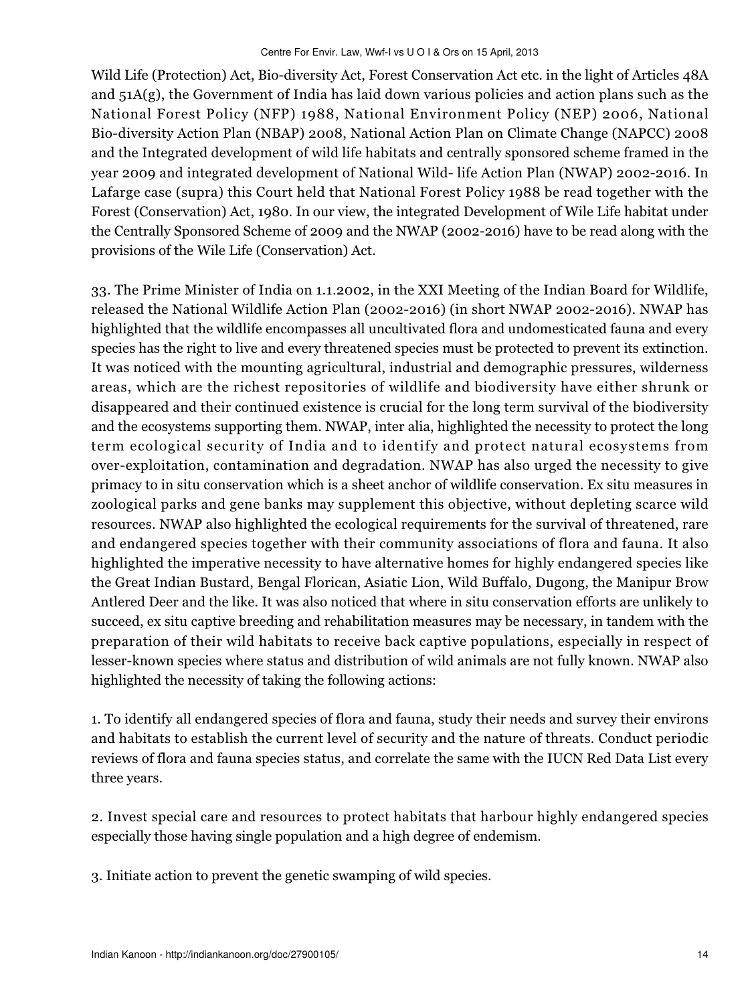Wild Life (Protection) Act, Bio-diversity Act, Forest Conservation Act etc. in the light of Articles 48A and  $51A(g)$ , the Government of India has laid down various policies and action plans such as the National Forest Policy (NFP) 1988, National Environment Policy (NEP) 2006, National Bio-diversity Action Plan (NBAP) 2008, National Action Plan on Climate Change (NAPCC) 2008 and the Integrated development of wild life habitats and centrally sponsored scheme framed in the year 2009 and integrated development of National Wild- life Action Plan (NWAP) 2002-2016. In Lafarge case (supra) this Court held that National Forest Policy 1988 be read together with the Forest (Conservation) Act, 1980. In our view, the integrated Development of Wile Life habitat under the Centrally Sponsored Scheme of 2009 and the NWAP (2002-2016) have to be read along with the provisions of the Wile Life (Conservation) Act.

33. The Prime Minister of India on 1.1.2002, in the XXI Meeting of the Indian Board for Wildlife, released the National Wildlife Action Plan (2002-2016) (in short NWAP 2002-2016). NWAP has highlighted that the wildlife encompasses all uncultivated flora and undomesticated fauna and every species has the right to live and every threatened species must be protected to prevent its extinction. It was noticed with the mounting agricultural, industrial and demographic pressures, wilderness areas, which are the richest repositories of wildlife and biodiversity have either shrunk or disappeared and their continued existence is crucial for the long term survival of the biodiversity and the ecosystems supporting them. NWAP, inter alia, highlighted the necessity to protect the long term ecological security of India and to identify and protect natural ecosystems from over-exploitation, contamination and degradation. NWAP has also urged the necessity to give primacy to in situ conservation which is a sheet anchor of wildlife conservation. Ex situ measures in zoological parks and gene banks may supplement this objective, without depleting scarce wild resources. NWAP also highlighted the ecological requirements for the survival of threatened, rare and endangered species together with their community associations of flora and fauna. It also highlighted the imperative necessity to have alternative homes for highly endangered species like the Great Indian Bustard, Bengal Florican, Asiatic Lion, Wild Buffalo, Dugong, the Manipur Brow Antlered Deer and the like. It was also noticed that where in situ conservation efforts are unlikely to succeed, ex situ captive breeding and rehabilitation measures may be necessary, in tandem with the preparation of their wild habitats to receive back captive populations, especially in respect of lesser-known species where status and distribution of wild animals are not fully known. NWAP also highlighted the necessity of taking the following actions:

1. To identify all endangered species of flora and fauna, study their needs and survey their environs and habitats to establish the current level of security and the nature of threats. Conduct periodic reviews of flora and fauna species status, and correlate the same with the IUCN Red Data List every three years.

2. Invest special care and resources to protect habitats that harbour highly endangered species especially those having single population and a high degree of endemism.

3. Initiate action to prevent the genetic swamping of wild species.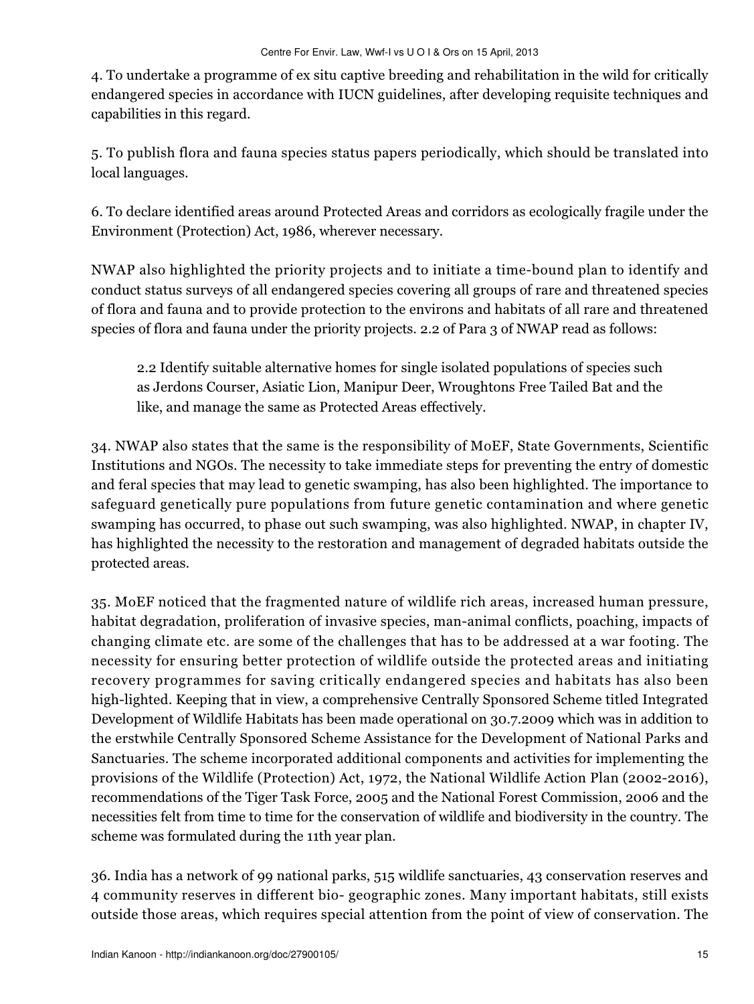4. To undertake a programme of ex situ captive breeding and rehabilitation in the wild for critically endangered species in accordance with IUCN guidelines, after developing requisite techniques and capabilities in this regard.

5. To publish flora and fauna species status papers periodically, which should be translated into local languages.

6. To declare identified areas around Protected Areas and corridors as ecologically fragile under the Environment (Protection) Act, 1986, wherever necessary.

NWAP also highlighted the priority projects and to initiate a time-bound plan to identify and conduct status surveys of all endangered species covering all groups of rare and threatened species of flora and fauna and to provide protection to the environs and habitats of all rare and threatened species of flora and fauna under the priority projects. 2.2 of Para 3 of NWAP read as follows:

2.2 Identify suitable alternative homes for single isolated populations of species such as Jerdons Courser, Asiatic Lion, Manipur Deer, Wroughtons Free Tailed Bat and the like, and manage the same as Protected Areas effectively.

34. NWAP also states that the same is the responsibility of MoEF, State Governments, Scientific Institutions and NGOs. The necessity to take immediate steps for preventing the entry of domestic and feral species that may lead to genetic swamping, has also been highlighted. The importance to safeguard genetically pure populations from future genetic contamination and where genetic swamping has occurred, to phase out such swamping, was also highlighted. NWAP, in chapter IV, has highlighted the necessity to the restoration and management of degraded habitats outside the protected areas.

35. MoEF noticed that the fragmented nature of wildlife rich areas, increased human pressure, habitat degradation, proliferation of invasive species, man-animal conflicts, poaching, impacts of changing climate etc. are some of the challenges that has to be addressed at a war footing. The necessity for ensuring better protection of wildlife outside the protected areas and initiating recovery programmes for saving critically endangered species and habitats has also been high-lighted. Keeping that in view, a comprehensive Centrally Sponsored Scheme titled Integrated Development of Wildlife Habitats has been made operational on 30.7.2009 which was in addition to the erstwhile Centrally Sponsored Scheme Assistance for the Development of National Parks and Sanctuaries. The scheme incorporated additional components and activities for implementing the provisions of the Wildlife (Protection) Act, 1972, the National Wildlife Action Plan (2002-2016), recommendations of the Tiger Task Force, 2005 and the National Forest Commission, 2006 and the necessities felt from time to time for the conservation of wildlife and biodiversity in the country. The scheme was formulated during the 11th year plan.

36. India has a network of 99 national parks, 515 wildlife sanctuaries, 43 conservation reserves and 4 community reserves in different bio- geographic zones. Many important habitats, still exists outside those areas, which requires special attention from the point of view of conservation. The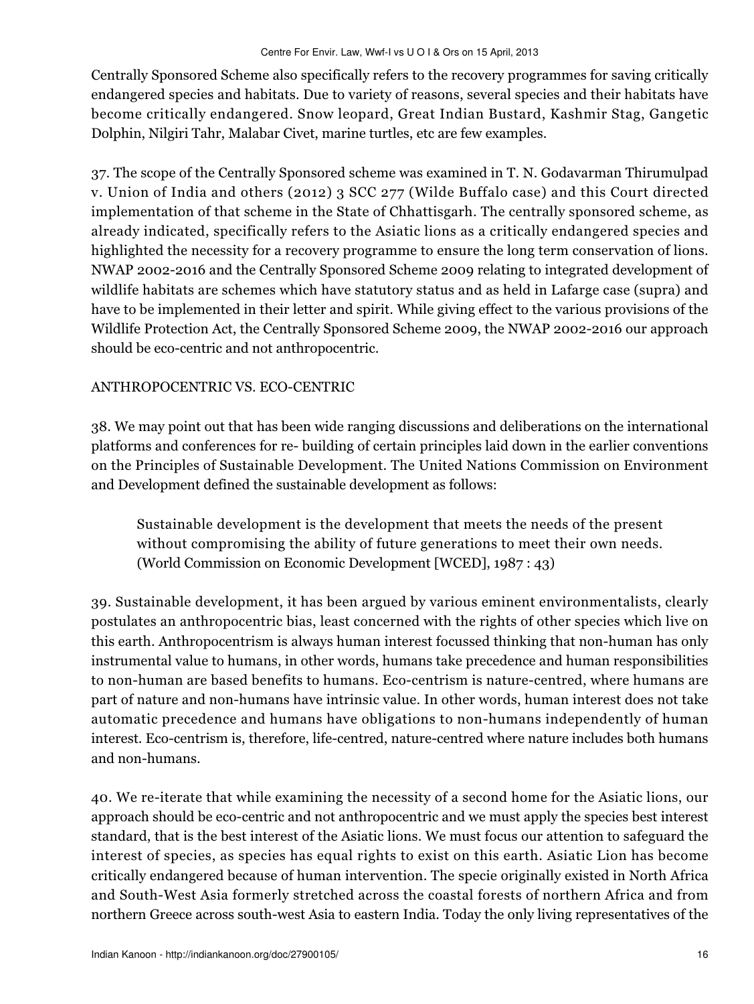Centrally Sponsored Scheme also specifically refers to the recovery programmes for saving critically endangered species and habitats. Due to variety of reasons, several species and their habitats have become critically endangered. Snow leopard, Great Indian Bustard, Kashmir Stag, Gangetic Dolphin, Nilgiri Tahr, Malabar Civet, marine turtles, etc are few examples.

37. The scope of the Centrally Sponsored scheme was examined in T. N. Godavarman Thirumulpad v. Union of India and others (2012) 3 SCC 277 (Wilde Buffalo case) and this Court directed implementation of that scheme in the State of Chhattisgarh. The centrally sponsored scheme, as already indicated, specifically refers to the Asiatic lions as a critically endangered species and highlighted the necessity for a recovery programme to ensure the long term conservation of lions. NWAP 2002-2016 and the Centrally Sponsored Scheme 2009 relating to integrated development of wildlife habitats are schemes which have statutory status and as held in Lafarge case (supra) and have to be implemented in their letter and spirit. While giving effect to the various provisions of the Wildlife Protection Act, the Centrally Sponsored Scheme 2009, the NWAP 2002-2016 our approach should be eco-centric and not anthropocentric.

## ANTHROPOCENTRIC VS. ECO-CENTRIC

38. We may point out that has been wide ranging discussions and deliberations on the international platforms and conferences for re- building of certain principles laid down in the earlier conventions on the Principles of Sustainable Development. The United Nations Commission on Environment and Development defined the sustainable development as follows:

Sustainable development is the development that meets the needs of the present without compromising the ability of future generations to meet their own needs. (World Commission on Economic Development [WCED], 1987 : 43)

39. Sustainable development, it has been argued by various eminent environmentalists, clearly postulates an anthropocentric bias, least concerned with the rights of other species which live on this earth. Anthropocentrism is always human interest focussed thinking that non-human has only instrumental value to humans, in other words, humans take precedence and human responsibilities to non-human are based benefits to humans. Eco-centrism is nature-centred, where humans are part of nature and non-humans have intrinsic value. In other words, human interest does not take automatic precedence and humans have obligations to non-humans independently of human interest. Eco-centrism is, therefore, life-centred, nature-centred where nature includes both humans and non-humans.

40. We re-iterate that while examining the necessity of a second home for the Asiatic lions, our approach should be eco-centric and not anthropocentric and we must apply the species best interest standard, that is the best interest of the Asiatic lions. We must focus our attention to safeguard the interest of species, as species has equal rights to exist on this earth. Asiatic Lion has become critically endangered because of human intervention. The specie originally existed in North Africa and South-West Asia formerly stretched across the coastal forests of northern Africa and from northern Greece across south-west Asia to eastern India. Today the only living representatives of the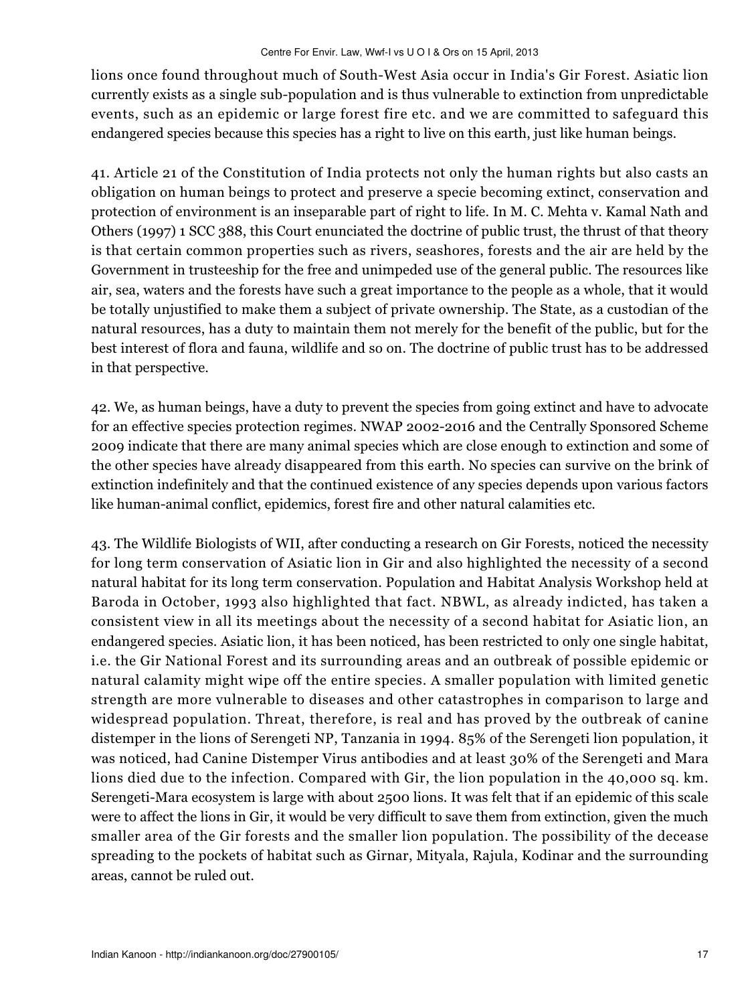lions once found throughout much of South-West Asia occur in India's Gir Forest. Asiatic lion currently exists as a single sub-population and is thus vulnerable to extinction from unpredictable events, such as an epidemic or large forest fire etc. and we are committed to safeguard this endangered species because this species has a right to live on this earth, just like human beings.

41. Article 21 of the Constitution of India protects not only the human rights but also casts an obligation on human beings to protect and preserve a specie becoming extinct, conservation and protection of environment is an inseparable part of right to life. In M. C. Mehta v. Kamal Nath and Others (1997) 1 SCC 388, this Court enunciated the doctrine of public trust, the thrust of that theory is that certain common properties such as rivers, seashores, forests and the air are held by the Government in trusteeship for the free and unimpeded use of the general public. The resources like air, sea, waters and the forests have such a great importance to the people as a whole, that it would be totally unjustified to make them a subject of private ownership. The State, as a custodian of the natural resources, has a duty to maintain them not merely for the benefit of the public, but for the best interest of flora and fauna, wildlife and so on. The doctrine of public trust has to be addressed in that perspective.

42. We, as human beings, have a duty to prevent the species from going extinct and have to advocate for an effective species protection regimes. NWAP 2002-2016 and the Centrally Sponsored Scheme 2009 indicate that there are many animal species which are close enough to extinction and some of the other species have already disappeared from this earth. No species can survive on the brink of extinction indefinitely and that the continued existence of any species depends upon various factors like human-animal conflict, epidemics, forest fire and other natural calamities etc.

43. The Wildlife Biologists of WII, after conducting a research on Gir Forests, noticed the necessity for long term conservation of Asiatic lion in Gir and also highlighted the necessity of a second natural habitat for its long term conservation. Population and Habitat Analysis Workshop held at Baroda in October, 1993 also highlighted that fact. NBWL, as already indicted, has taken a consistent view in all its meetings about the necessity of a second habitat for Asiatic lion, an endangered species. Asiatic lion, it has been noticed, has been restricted to only one single habitat, i.e. the Gir National Forest and its surrounding areas and an outbreak of possible epidemic or natural calamity might wipe off the entire species. A smaller population with limited genetic strength are more vulnerable to diseases and other catastrophes in comparison to large and widespread population. Threat, therefore, is real and has proved by the outbreak of canine distemper in the lions of Serengeti NP, Tanzania in 1994. 85% of the Serengeti lion population, it was noticed, had Canine Distemper Virus antibodies and at least 30% of the Serengeti and Mara lions died due to the infection. Compared with Gir, the lion population in the 40,000 sq. km. Serengeti-Mara ecosystem is large with about 2500 lions. It was felt that if an epidemic of this scale were to affect the lions in Gir, it would be very difficult to save them from extinction, given the much smaller area of the Gir forests and the smaller lion population. The possibility of the decease spreading to the pockets of habitat such as Girnar, Mityala, Rajula, Kodinar and the surrounding areas, cannot be ruled out.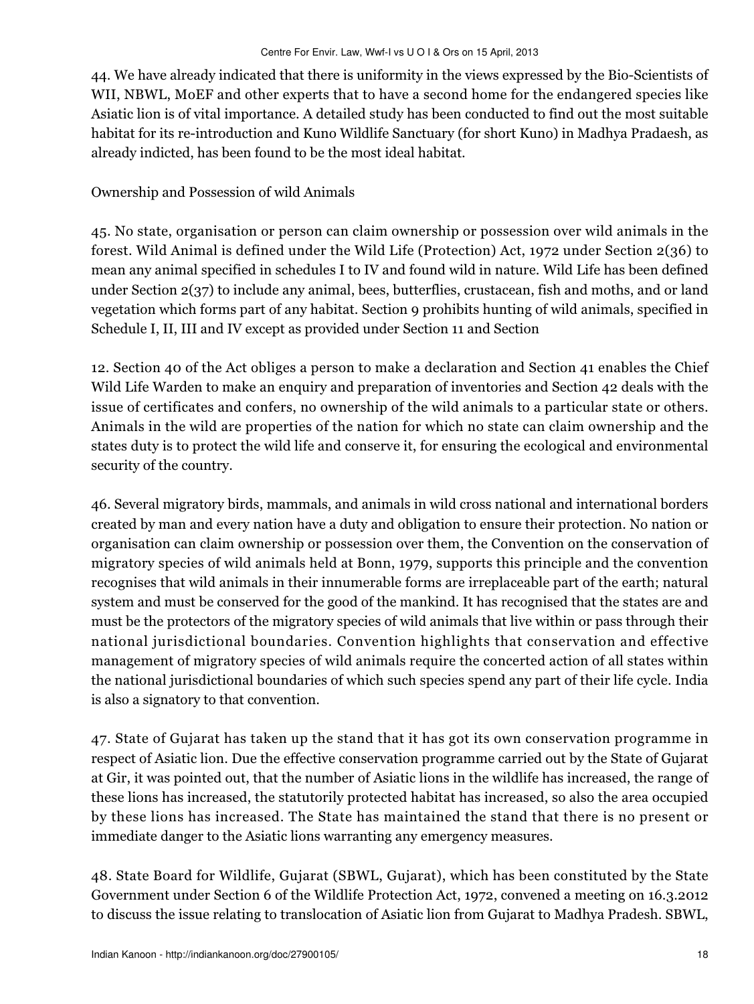44. We have already indicated that there is uniformity in the views expressed by the Bio-Scientists of WII, NBWL, MoEF and other experts that to have a second home for the endangered species like Asiatic lion is of vital importance. A detailed study has been conducted to find out the most suitable habitat for its re-introduction and Kuno Wildlife Sanctuary (for short Kuno) in Madhya Pradaesh, as already indicted, has been found to be the most ideal habitat.

### Ownership and Possession of wild Animals

45. No state, organisation or person can claim ownership or possession over wild animals in the forest. Wild Animal is defined under the Wild Life (Protection) Act, 1972 under Section 2(36) to mean any animal specified in schedules I to IV and found wild in nature. Wild Life has been defined under Section 2(37) to include any animal, bees, butterflies, crustacean, fish and moths, and or land vegetation which forms part of any habitat. Section 9 prohibits hunting of wild animals, specified in Schedule I, II, III and IV except as provided under Section 11 and Section

12. Section 40 of the Act obliges a person to make a declaration and Section 41 enables the Chief Wild Life Warden to make an enquiry and preparation of inventories and Section 42 deals with the issue of certificates and confers, no ownership of the wild animals to a particular state or others. Animals in the wild are properties of the nation for which no state can claim ownership and the states duty is to protect the wild life and conserve it, for ensuring the ecological and environmental security of the country.

46. Several migratory birds, mammals, and animals in wild cross national and international borders created by man and every nation have a duty and obligation to ensure their protection. No nation or organisation can claim ownership or possession over them, the Convention on the conservation of migratory species of wild animals held at Bonn, 1979, supports this principle and the convention recognises that wild animals in their innumerable forms are irreplaceable part of the earth; natural system and must be conserved for the good of the mankind. It has recognised that the states are and must be the protectors of the migratory species of wild animals that live within or pass through their national jurisdictional boundaries. Convention highlights that conservation and effective management of migratory species of wild animals require the concerted action of all states within the national jurisdictional boundaries of which such species spend any part of their life cycle. India is also a signatory to that convention.

47. State of Gujarat has taken up the stand that it has got its own conservation programme in respect of Asiatic lion. Due the effective conservation programme carried out by the State of Gujarat at Gir, it was pointed out, that the number of Asiatic lions in the wildlife has increased, the range of these lions has increased, the statutorily protected habitat has increased, so also the area occupied by these lions has increased. The State has maintained the stand that there is no present or immediate danger to the Asiatic lions warranting any emergency measures.

48. State Board for Wildlife, Gujarat (SBWL, Gujarat), which has been constituted by the State Government under Section 6 of the Wildlife Protection Act, 1972, convened a meeting on 16.3.2012 to discuss the issue relating to translocation of Asiatic lion from Gujarat to Madhya Pradesh. SBWL,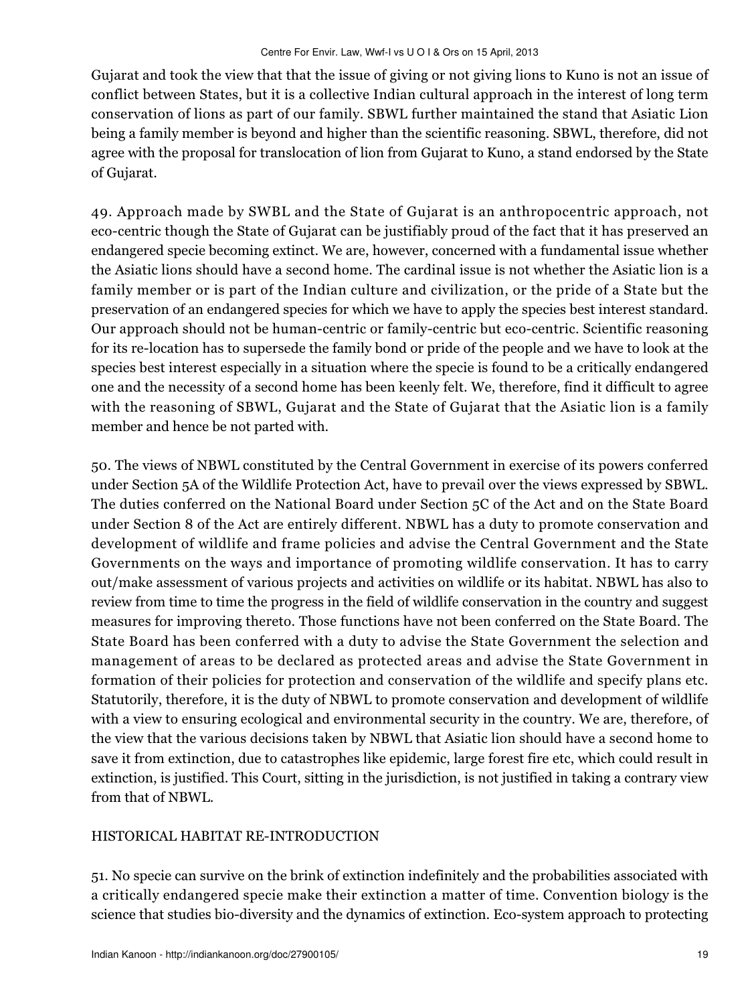Gujarat and took the view that that the issue of giving or not giving lions to Kuno is not an issue of conflict between States, but it is a collective Indian cultural approach in the interest of long term conservation of lions as part of our family. SBWL further maintained the stand that Asiatic Lion being a family member is beyond and higher than the scientific reasoning. SBWL, therefore, did not agree with the proposal for translocation of lion from Gujarat to Kuno, a stand endorsed by the State of Gujarat.

49. Approach made by SWBL and the State of Gujarat is an anthropocentric approach, not eco-centric though the State of Gujarat can be justifiably proud of the fact that it has preserved an endangered specie becoming extinct. We are, however, concerned with a fundamental issue whether the Asiatic lions should have a second home. The cardinal issue is not whether the Asiatic lion is a family member or is part of the Indian culture and civilization, or the pride of a State but the preservation of an endangered species for which we have to apply the species best interest standard. Our approach should not be human-centric or family-centric but eco-centric. Scientific reasoning for its re-location has to supersede the family bond or pride of the people and we have to look at the species best interest especially in a situation where the specie is found to be a critically endangered one and the necessity of a second home has been keenly felt. We, therefore, find it difficult to agree with the reasoning of SBWL, Gujarat and the State of Gujarat that the Asiatic lion is a family member and hence be not parted with.

50. The views of NBWL constituted by the Central Government in exercise of its powers conferred under Section 5A of the Wildlife Protection Act, have to prevail over the views expressed by SBWL. The duties conferred on the National Board under Section 5C of the Act and on the State Board under Section 8 of the Act are entirely different. NBWL has a duty to promote conservation and development of wildlife and frame policies and advise the Central Government and the State Governments on the ways and importance of promoting wildlife conservation. It has to carry out/make assessment of various projects and activities on wildlife or its habitat. NBWL has also to review from time to time the progress in the field of wildlife conservation in the country and suggest measures for improving thereto. Those functions have not been conferred on the State Board. The State Board has been conferred with a duty to advise the State Government the selection and management of areas to be declared as protected areas and advise the State Government in formation of their policies for protection and conservation of the wildlife and specify plans etc. Statutorily, therefore, it is the duty of NBWL to promote conservation and development of wildlife with a view to ensuring ecological and environmental security in the country. We are, therefore, of the view that the various decisions taken by NBWL that Asiatic lion should have a second home to save it from extinction, due to catastrophes like epidemic, large forest fire etc, which could result in extinction, is justified. This Court, sitting in the jurisdiction, is not justified in taking a contrary view from that of NBWL.

## HISTORICAL HABITAT RE-INTRODUCTION

51. No specie can survive on the brink of extinction indefinitely and the probabilities associated with a critically endangered specie make their extinction a matter of time. Convention biology is the science that studies bio-diversity and the dynamics of extinction. Eco-system approach to protecting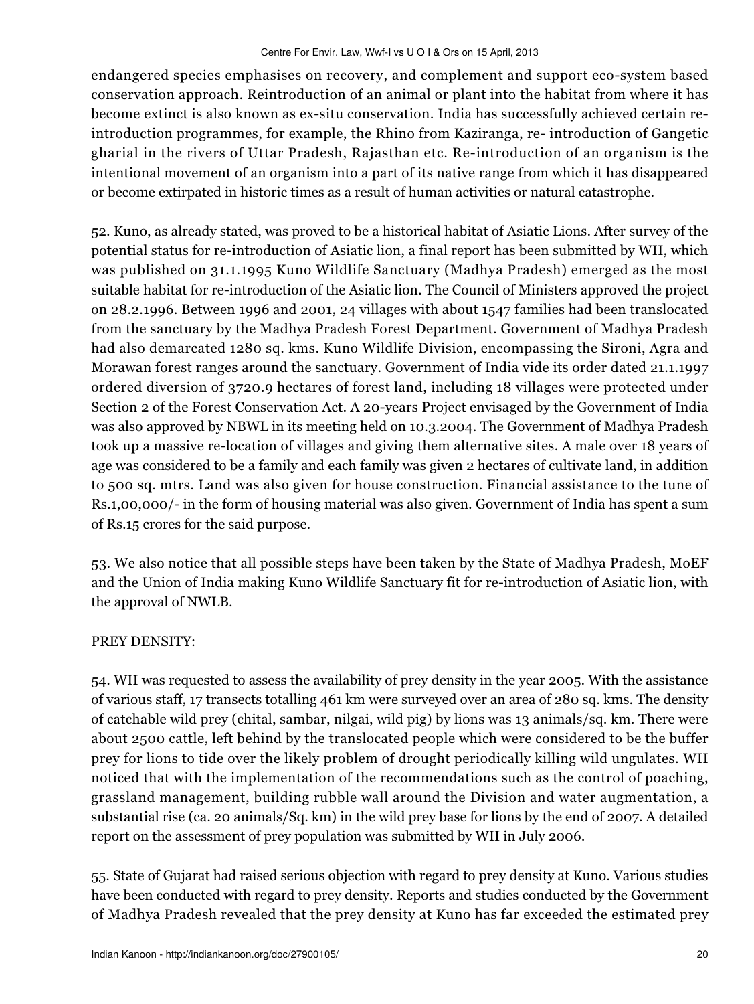endangered species emphasises on recovery, and complement and support eco-system based conservation approach. Reintroduction of an animal or plant into the habitat from where it has become extinct is also known as ex-situ conservation. India has successfully achieved certain reintroduction programmes, for example, the Rhino from Kaziranga, re- introduction of Gangetic gharial in the rivers of Uttar Pradesh, Rajasthan etc. Re-introduction of an organism is the intentional movement of an organism into a part of its native range from which it has disappeared or become extirpated in historic times as a result of human activities or natural catastrophe.

52. Kuno, as already stated, was proved to be a historical habitat of Asiatic Lions. After survey of the potential status for re-introduction of Asiatic lion, a final report has been submitted by WII, which was published on 31.1.1995 Kuno Wildlife Sanctuary (Madhya Pradesh) emerged as the most suitable habitat for re-introduction of the Asiatic lion. The Council of Ministers approved the project on 28.2.1996. Between 1996 and 2001, 24 villages with about 1547 families had been translocated from the sanctuary by the Madhya Pradesh Forest Department. Government of Madhya Pradesh had also demarcated 1280 sq. kms. Kuno Wildlife Division, encompassing the Sironi, Agra and Morawan forest ranges around the sanctuary. Government of India vide its order dated 21.1.1997 ordered diversion of 3720.9 hectares of forest land, including 18 villages were protected under Section 2 of the Forest Conservation Act. A 20-years Project envisaged by the Government of India was also approved by NBWL in its meeting held on 10.3.2004. The Government of Madhya Pradesh took up a massive re-location of villages and giving them alternative sites. A male over 18 years of age was considered to be a family and each family was given 2 hectares of cultivate land, in addition to 500 sq. mtrs. Land was also given for house construction. Financial assistance to the tune of Rs.1,00,000/- in the form of housing material was also given. Government of India has spent a sum of Rs.15 crores for the said purpose.

53. We also notice that all possible steps have been taken by the State of Madhya Pradesh, MoEF and the Union of India making Kuno Wildlife Sanctuary fit for re-introduction of Asiatic lion, with the approval of NWLB.

## PREY DENSITY:

54. WII was requested to assess the availability of prey density in the year 2005. With the assistance of various staff, 17 transects totalling 461 km were surveyed over an area of 280 sq. kms. The density of catchable wild prey (chital, sambar, nilgai, wild pig) by lions was 13 animals/sq. km. There were about 2500 cattle, left behind by the translocated people which were considered to be the buffer prey for lions to tide over the likely problem of drought periodically killing wild ungulates. WII noticed that with the implementation of the recommendations such as the control of poaching, grassland management, building rubble wall around the Division and water augmentation, a substantial rise (ca. 20 animals/Sq. km) in the wild prey base for lions by the end of 2007. A detailed report on the assessment of prey population was submitted by WII in July 2006.

55. State of Gujarat had raised serious objection with regard to prey density at Kuno. Various studies have been conducted with regard to prey density. Reports and studies conducted by the Government of Madhya Pradesh revealed that the prey density at Kuno has far exceeded the estimated prey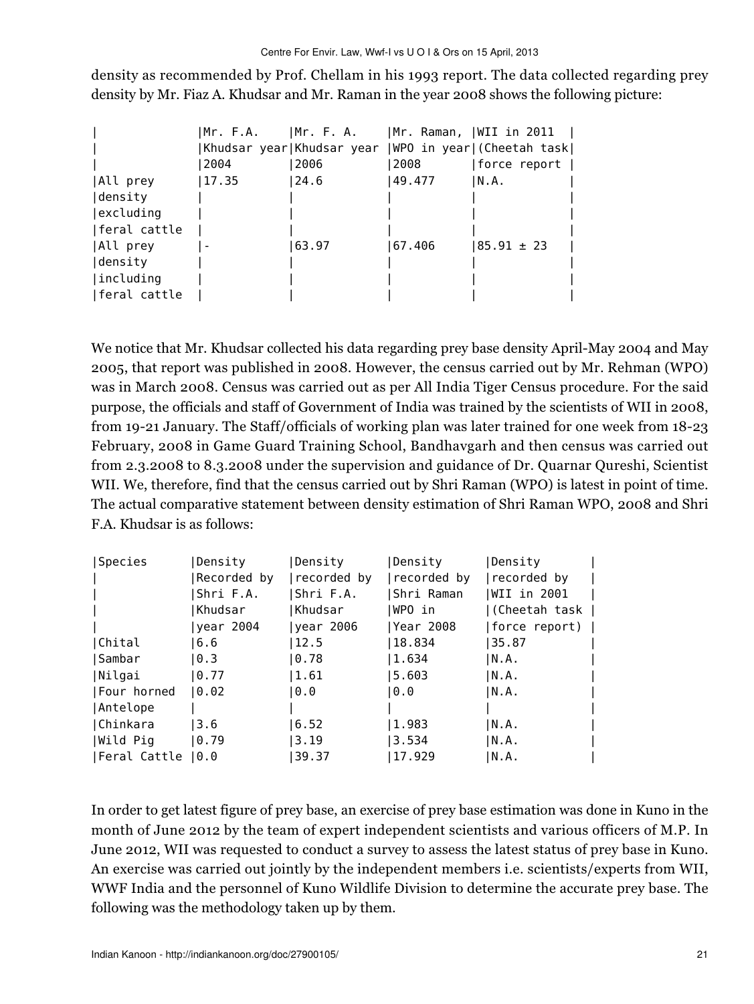density as recommended by Prof. Chellam in his 1993 report. The data collected regarding prey density by Mr. Fiaz A. Khudsar and Mr. Raman in the year 2008 shows the following picture:

|              |       |       |         | Mr. F.A.      Mr. F. A.      Mr. Raman,  WII in 2011 |
|--------------|-------|-------|---------|------------------------------------------------------|
|              |       |       |         | Khudsar year Khudsar year  WPO in year (Cheetah task |
|              | 2004  | 2006  | 2008    | force report                                         |
| All prey     | 17.35 | 24.6  | 49.477  | N.A.                                                 |
| density      |       |       |         |                                                      |
| excluding    |       |       |         |                                                      |
| feral cattle |       |       |         |                                                      |
| All prey     |       | 63.97 | 167.406 | $185.91 \pm 23$                                      |
| density      |       |       |         |                                                      |
| including    |       |       |         |                                                      |
| feral cattle |       |       |         |                                                      |

We notice that Mr. Khudsar collected his data regarding prey base density April-May 2004 and May 2005, that report was published in 2008. However, the census carried out by Mr. Rehman (WPO) was in March 2008. Census was carried out as per All India Tiger Census procedure. For the said purpose, the officials and staff of Government of India was trained by the scientists of WII in 2008, from 19-21 January. The Staff/officials of working plan was later trained for one week from 18-23 February, 2008 in Game Guard Training School, Bandhavgarh and then census was carried out from 2.3.2008 to 8.3.2008 under the supervision and guidance of Dr. Quarnar Qureshi, Scientist WII. We, therefore, find that the census carried out by Shri Raman (WPO) is latest in point of time. The actual comparative statement between density estimation of Shri Raman WPO, 2008 and Shri F.A. Khudsar is as follows:

| Density           | Density     | Density     | Density     |                                   |
|-------------------|-------------|-------------|-------------|-----------------------------------|
| Recorded by       | recorded by | recorded by | recorded by |                                   |
| Shri F.A.         | Shri F.A.   | Shri Raman  | WII in 2001 |                                   |
| Khudsar           | Khudsar     | IWPO in     |             |                                   |
| year 2004         | year 2006   | Year 2008   |             |                                   |
| 16.6              | 12.5        | 18.834      | 35.87       |                                   |
| 10.3              | 0.78        | 1.634       | IN.A.       |                                   |
| 10.77             | 1.61        | 5.603       | N.A.        |                                   |
| 10.02             | 0.0         | 10.0        | IN.A.       |                                   |
|                   |             |             |             |                                   |
| 13.6              | 6.52        | 1.983       | IN.A.       |                                   |
| 0.79              | 3.19        | 3.534       | IN.A.       |                                   |
| Feral Cattle  0.0 | 39.37       | 17.929      | N.A.        |                                   |
|                   |             |             |             | (Cheetah task  <br> force report) |

In order to get latest figure of prey base, an exercise of prey base estimation was done in Kuno in the month of June 2012 by the team of expert independent scientists and various officers of M.P. In June 2012, WII was requested to conduct a survey to assess the latest status of prey base in Kuno. An exercise was carried out jointly by the independent members i.e. scientists/experts from WII, WWF India and the personnel of Kuno Wildlife Division to determine the accurate prey base. The following was the methodology taken up by them.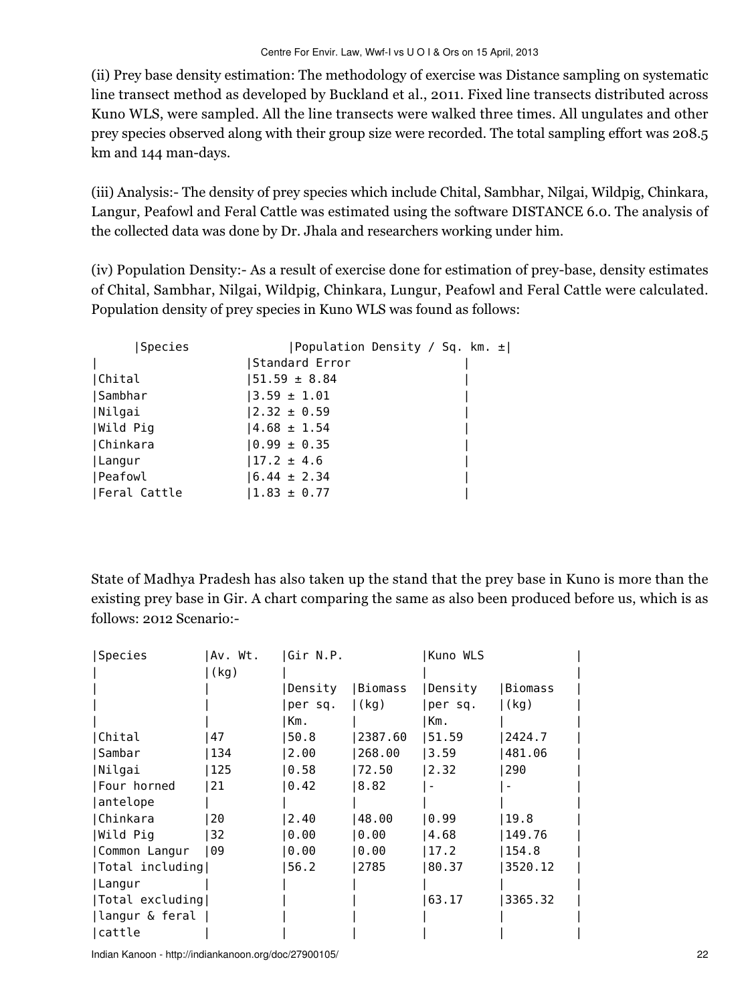(ii) Prey base density estimation: The methodology of exercise was Distance sampling on systematic line transect method as developed by Buckland et al., 2011. Fixed line transects distributed across Kuno WLS, were sampled. All the line transects were walked three times. All ungulates and other prey species observed along with their group size were recorded. The total sampling effort was 208.5 km and 144 man-days.

(iii) Analysis:- The density of prey species which include Chital, Sambhar, Nilgai, Wildpig, Chinkara, Langur, Peafowl and Feral Cattle was estimated using the software DISTANCE 6.0. The analysis of the collected data was done by Dr. Jhala and researchers working under him.

(iv) Population Density:- As a result of exercise done for estimation of prey-base, density estimates of Chital, Sambhar, Nilgai, Wildpig, Chinkara, Lungur, Peafowl and Feral Cattle were calculated. Population density of prey species in Kuno WLS was found as follows:

| Species      | Population Density / Sq. km. $\pm$ |  |  |
|--------------|------------------------------------|--|--|
|              | Standard Error                     |  |  |
| Chital       | $ 51.59 \pm 8.84$                  |  |  |
| Sambhar      | $ 3.59 \pm 1.01$                   |  |  |
| Nilgai       | $ 2.32 \pm 0.59$                   |  |  |
| Wild Pig     | $ 4.68 \pm 1.54$                   |  |  |
| Chinkara     | $0.99 \pm 0.35$                    |  |  |
| Langur       | $ 17.2 \pm 4.6$                    |  |  |
| Peafowl      | $16.44 \pm 2.34$                   |  |  |
| Feral Cattle | $1.83 \pm 0.77$                    |  |  |

State of Madhya Pradesh has also taken up the stand that the prey base in Kuno is more than the existing prey base in Gir. A chart comparing the same as also been produced before us, which is as follows: 2012 Scenario:-

| Species         | Av. Wt. | Gir N.P. |          | Kuno WLS |          |
|-----------------|---------|----------|----------|----------|----------|
|                 | (kg)    |          |          |          |          |
|                 |         | Density  | IBiomass | Density  | IBiomass |
|                 |         | per sq.  | (kg)     | per sq.  | (kg)     |
|                 |         | Km.      |          | Km.      |          |
| Chital          | 47      | 50.8     | 2387.60  | 51.59    | 2424.7   |
| Sambar          | 134     | 2.00     | 268.00   | 3.59     | 481.06   |
| Nilgai          | 125     | 0.58     | 72.50    | 2.32     | 290      |
| Four horned     | 21      | 0.42     | 8.82     |          |          |
| antelope        |         |          |          |          |          |
| Chinkara        | 20      | 2.40     | 48.00    | 0.99     | 19.8     |
| Wild Pig        | 32      | 0.00     | ∣0.00    | 4.68     | 149.76   |
| Common Langur   | 09 ا    | 0.00     | ∣0.00    | 17.2     | 154.8    |
| Total including |         | 56.2     | 2785     | 80.37    | 3520.12  |
| Langur          |         |          |          |          |          |
| Total excluding |         |          |          | 63.17    | 3365.32  |
| langur & feral  |         |          |          |          |          |
| cattle          |         |          |          |          |          |

Indian Kanoon - http://indiankanoon.org/doc/27900105/ 22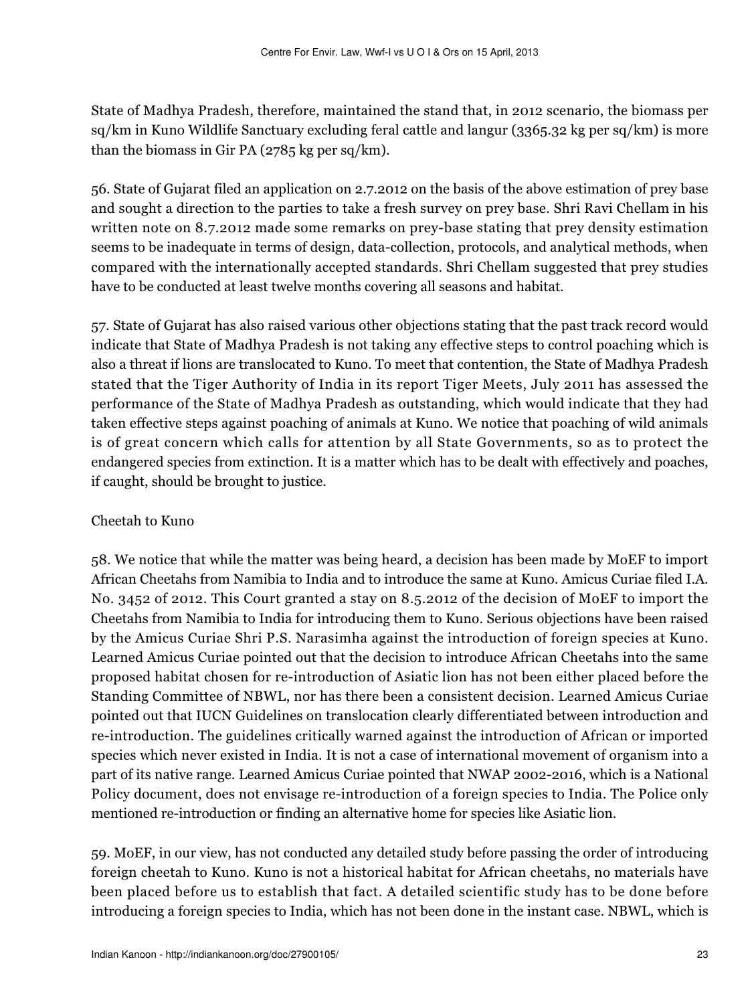State of Madhya Pradesh, therefore, maintained the stand that, in 2012 scenario, the biomass per sq/km in Kuno Wildlife Sanctuary excluding feral cattle and langur (3365.32 kg per sq/km) is more than the biomass in Gir PA (2785 kg per sq/km).

56. State of Gujarat filed an application on 2.7.2012 on the basis of the above estimation of prey base and sought a direction to the parties to take a fresh survey on prey base. Shri Ravi Chellam in his written note on 8.7.2012 made some remarks on prey-base stating that prey density estimation seems to be inadequate in terms of design, data-collection, protocols, and analytical methods, when compared with the internationally accepted standards. Shri Chellam suggested that prey studies have to be conducted at least twelve months covering all seasons and habitat.

57. State of Gujarat has also raised various other objections stating that the past track record would indicate that State of Madhya Pradesh is not taking any effective steps to control poaching which is also a threat if lions are translocated to Kuno. To meet that contention, the State of Madhya Pradesh stated that the Tiger Authority of India in its report Tiger Meets, July 2011 has assessed the performance of the State of Madhya Pradesh as outstanding, which would indicate that they had taken effective steps against poaching of animals at Kuno. We notice that poaching of wild animals is of great concern which calls for attention by all State Governments, so as to protect the endangered species from extinction. It is a matter which has to be dealt with effectively and poaches, if caught, should be brought to justice.

## Cheetah to Kuno

58. We notice that while the matter was being heard, a decision has been made by MoEF to import African Cheetahs from Namibia to India and to introduce the same at Kuno. Amicus Curiae filed I.A. No. 3452 of 2012. This Court granted a stay on 8.5.2012 of the decision of MoEF to import the Cheetahs from Namibia to India for introducing them to Kuno. Serious objections have been raised by the Amicus Curiae Shri P.S. Narasimha against the introduction of foreign species at Kuno. Learned Amicus Curiae pointed out that the decision to introduce African Cheetahs into the same proposed habitat chosen for re-introduction of Asiatic lion has not been either placed before the Standing Committee of NBWL, nor has there been a consistent decision. Learned Amicus Curiae pointed out that IUCN Guidelines on translocation clearly differentiated between introduction and re-introduction. The guidelines critically warned against the introduction of African or imported species which never existed in India. It is not a case of international movement of organism into a part of its native range. Learned Amicus Curiae pointed that NWAP 2002-2016, which is a National Policy document, does not envisage re-introduction of a foreign species to India. The Police only mentioned re-introduction or finding an alternative home for species like Asiatic lion.

59. MoEF, in our view, has not conducted any detailed study before passing the order of introducing foreign cheetah to Kuno. Kuno is not a historical habitat for African cheetahs, no materials have been placed before us to establish that fact. A detailed scientific study has to be done before introducing a foreign species to India, which has not been done in the instant case. NBWL, which is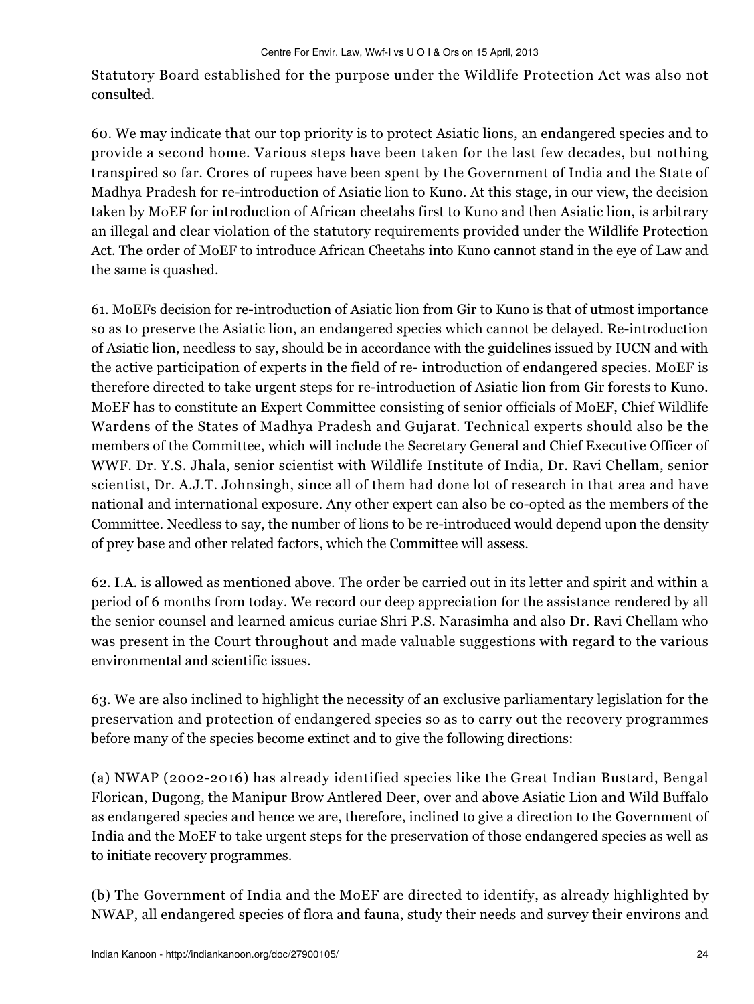Statutory Board established for the purpose under the Wildlife Protection Act was also not consulted.

60. We may indicate that our top priority is to protect Asiatic lions, an endangered species and to provide a second home. Various steps have been taken for the last few decades, but nothing transpired so far. Crores of rupees have been spent by the Government of India and the State of Madhya Pradesh for re-introduction of Asiatic lion to Kuno. At this stage, in our view, the decision taken by MoEF for introduction of African cheetahs first to Kuno and then Asiatic lion, is arbitrary an illegal and clear violation of the statutory requirements provided under the Wildlife Protection Act. The order of MoEF to introduce African Cheetahs into Kuno cannot stand in the eye of Law and the same is quashed.

61. MoEFs decision for re-introduction of Asiatic lion from Gir to Kuno is that of utmost importance so as to preserve the Asiatic lion, an endangered species which cannot be delayed. Re-introduction of Asiatic lion, needless to say, should be in accordance with the guidelines issued by IUCN and with the active participation of experts in the field of re- introduction of endangered species. MoEF is therefore directed to take urgent steps for re-introduction of Asiatic lion from Gir forests to Kuno. MoEF has to constitute an Expert Committee consisting of senior officials of MoEF, Chief Wildlife Wardens of the States of Madhya Pradesh and Gujarat. Technical experts should also be the members of the Committee, which will include the Secretary General and Chief Executive Officer of WWF. Dr. Y.S. Jhala, senior scientist with Wildlife Institute of India, Dr. Ravi Chellam, senior scientist, Dr. A.J.T. Johnsingh, since all of them had done lot of research in that area and have national and international exposure. Any other expert can also be co-opted as the members of the Committee. Needless to say, the number of lions to be re-introduced would depend upon the density of prey base and other related factors, which the Committee will assess.

62. I.A. is allowed as mentioned above. The order be carried out in its letter and spirit and within a period of 6 months from today. We record our deep appreciation for the assistance rendered by all the senior counsel and learned amicus curiae Shri P.S. Narasimha and also Dr. Ravi Chellam who was present in the Court throughout and made valuable suggestions with regard to the various environmental and scientific issues.

63. We are also inclined to highlight the necessity of an exclusive parliamentary legislation for the preservation and protection of endangered species so as to carry out the recovery programmes before many of the species become extinct and to give the following directions:

(a) NWAP (2002-2016) has already identified species like the Great Indian Bustard, Bengal Florican, Dugong, the Manipur Brow Antlered Deer, over and above Asiatic Lion and Wild Buffalo as endangered species and hence we are, therefore, inclined to give a direction to the Government of India and the MoEF to take urgent steps for the preservation of those endangered species as well as to initiate recovery programmes.

(b) The Government of India and the MoEF are directed to identify, as already highlighted by NWAP, all endangered species of flora and fauna, study their needs and survey their environs and